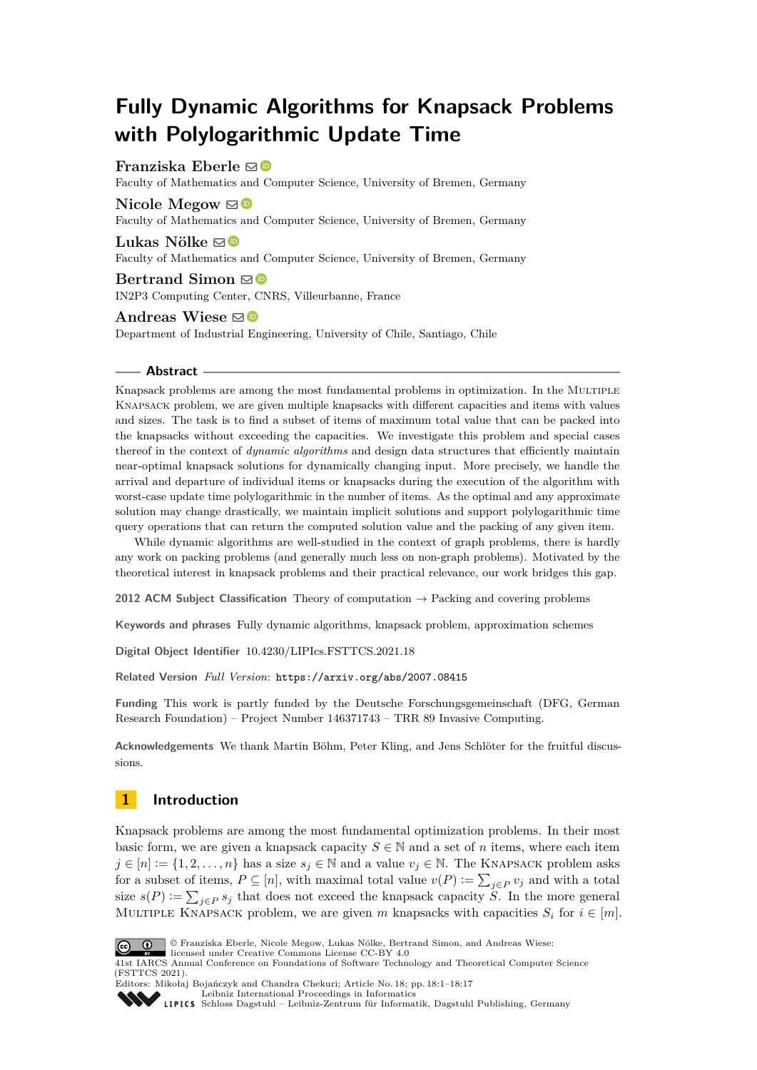# **Fully Dynamic Algorithms for Knapsack Problems with Polylogarithmic Update Time**

# **Franziska Eberle** ⊠<sup>®</sup>

Faculty of Mathematics and Computer Science, University of Bremen, Germany

## **Nicole Megow**  $\mathbb{D}$

Faculty of Mathematics and Computer Science, University of Bremen, Germany

# **Lukas Nölke**  $\mathbf{\mathbb{D}}$

Faculty of Mathematics and Computer Science, University of Bremen, Germany

### **Bertrand Simon**  $\mathbf{\mathbb{S}}\mathbf{\Phi}$ IN2P3 Computing Center, CNRS, Villeurbanne, France

Andreas Wiese  $\boxtimes$ Department of Industrial Engineering, University of Chile, Santiago, Chile

### **Abstract**

Knapsack problems are among the most fundamental problems in optimization. In the MULTIPLE Knapsack problem, we are given multiple knapsacks with different capacities and items with values and sizes. The task is to find a subset of items of maximum total value that can be packed into the knapsacks without exceeding the capacities. We investigate this problem and special cases thereof in the context of *dynamic algorithms* and design data structures that efficiently maintain near-optimal knapsack solutions for dynamically changing input. More precisely, we handle the arrival and departure of individual items or knapsacks during the execution of the algorithm with worst-case update time polylogarithmic in the number of items. As the optimal and any approximate solution may change drastically, we maintain implicit solutions and support polylogarithmic time query operations that can return the computed solution value and the packing of any given item.

While dynamic algorithms are well-studied in the context of graph problems, there is hardly any work on packing problems (and generally much less on non-graph problems). Motivated by the theoretical interest in knapsack problems and their practical relevance, our work bridges this gap.

**2012 ACM Subject Classification** Theory of computation → Packing and covering problems

**Keywords and phrases** Fully dynamic algorithms, knapsack problem, approximation schemes

**Digital Object Identifier** [10.4230/LIPIcs.FSTTCS.2021.18](https://doi.org/10.4230/LIPIcs.FSTTCS.2021.18)

**Related Version** *Full Version*: <https://arxiv.org/abs/2007.08415>

**Funding** This work is partly funded by the Deutsche Forschungsgemeinschaft (DFG, German Research Foundation) – Project Number 146371743 – TRR 89 Invasive Computing.

**Acknowledgements** We thank Martin Böhm, Peter Kling, and Jens Schlöter for the fruitful discussions.

# **1 Introduction**

Knapsack problems are among the most fundamental optimization problems. In their most basic form, we are given a knapsack capacity  $S \in \mathbb{N}$  and a set of *n* items, where each item  $j \in [n] := \{1, 2, \ldots, n\}$  has a size  $s_j \in \mathbb{N}$  and a value  $v_j \in \mathbb{N}$ . The KNAPSACK problem asks for a subset of items,  $P \subseteq [n]$ , with maximal total value  $v(P) := \sum_{j \in P} v_j$  and with a total size  $s(P) := \sum_{j \in P} s_j$  that does not exceed the knapsack capacity *S*. In the more general MULTIPLE KNAPSACK problem, we are given *m* knapsacks with capacities  $S_i$  for  $i \in [m]$ .



© Franziska Eberle, Nicole Megow, Lukas Nölke, Bertrand Simon, and Andreas Wiese; licensed under Creative Commons License CC-BY 4.0

41st IARCS Annual Conference on Foundations of Software Technology and Theoretical Computer Science (FSTTCS 2021).



Editors: Mikołaj Bojańczyk and Chandra Chekuri; Article No. 18; pp. 18:1–18:17 [Leibniz International Proceedings in Informatics](https://www.dagstuhl.de/lipics/)

[Schloss Dagstuhl – Leibniz-Zentrum für Informatik, Dagstuhl Publishing, Germany](https://www.dagstuhl.de)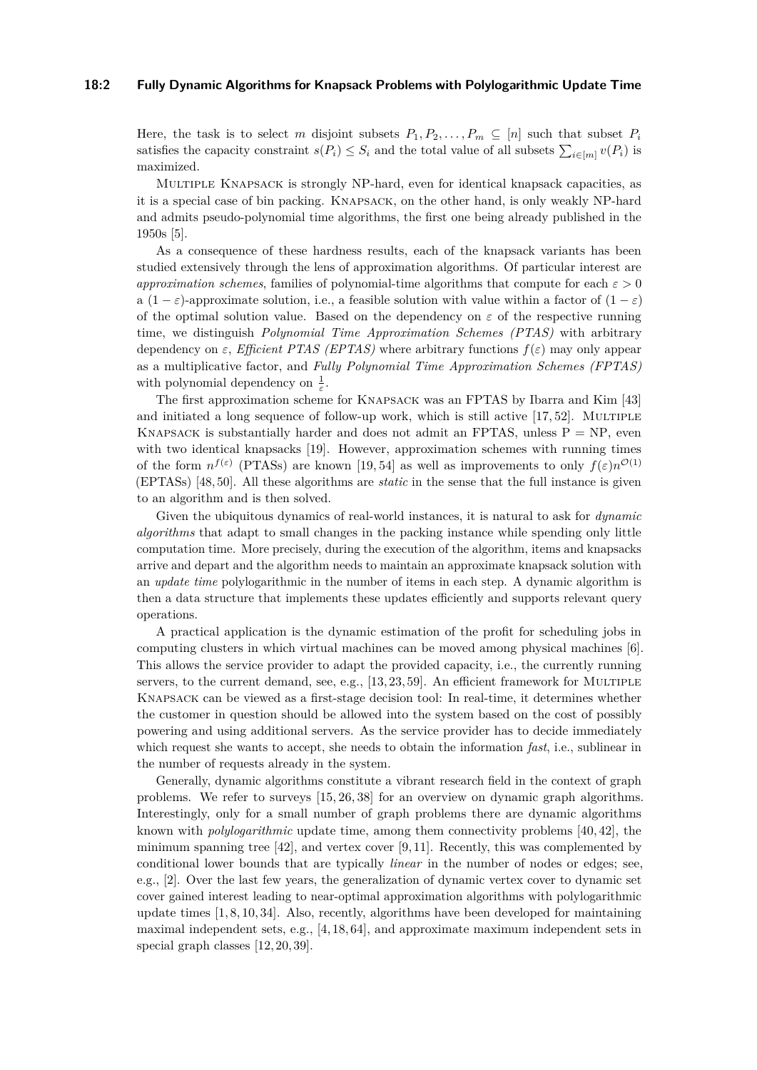### **18:2 Fully Dynamic Algorithms for Knapsack Problems with Polylogarithmic Update Time**

Here, the task is to select *m* disjoint subsets  $P_1, P_2, \ldots, P_m \subseteq [n]$  such that subset  $P_i$ satisfies the capacity constraint  $s(P_i) \leq S_i$  and the total value of all subsets  $\sum_{i \in [m]} v(P_i)$  is maximized.

Multiple Knapsack is strongly NP-hard, even for identical knapsack capacities, as it is a special case of bin packing. Knapsack, on the other hand, is only weakly NP-hard and admits pseudo-polynomial time algorithms, the first one being already published in the 1950s [\[5\]](#page-13-0).

As a consequence of these hardness results, each of the knapsack variants has been studied extensively through the lens of approximation algorithms. Of particular interest are *approximation schemes*, families of polynomial-time algorithms that compute for each *ε >* 0 a  $(1 - \varepsilon)$ -approximate solution, i.e., a feasible solution with value within a factor of  $(1 - \varepsilon)$ of the optimal solution value. Based on the dependency on  $\varepsilon$  of the respective running time, we distinguish *Polynomial Time Approximation Schemes (PTAS)* with arbitrary dependency on  $\varepsilon$ , *Efficient PTAS (EPTAS)* where arbitrary functions  $f(\varepsilon)$  may only appear as a multiplicative factor, and *Fully Polynomial Time Approximation Schemes (FPTAS)* with polynomial dependency on  $\frac{1}{\varepsilon}$ .

The first approximation scheme for Knapsack was an FPTAS by Ibarra and Kim [\[43\]](#page-15-0) and initiated a long sequence of follow-up work, which is still active  $[17, 52]$  $[17, 52]$ . MULTIPLE KNAPSACK is substantially harder and does not admit an FPTAS, unless  $P = NP$ , even with two identical knapsacks [\[19\]](#page-14-1). However, approximation schemes with running times of the form  $n^{f(\varepsilon)}$  (PTASs) are known [\[19,](#page-14-1)54] as well as improvements to only  $f(\varepsilon)n^{\mathcal{O}(1)}$ (EPTASs) [\[48,](#page-15-1) [50\]](#page-16-2). All these algorithms are *static* in the sense that the full instance is given to an algorithm and is then solved.

Given the ubiquitous dynamics of real-world instances, it is natural to ask for *dynamic algorithms* that adapt to small changes in the packing instance while spending only little computation time. More precisely, during the execution of the algorithm, items and knapsacks arrive and depart and the algorithm needs to maintain an approximate knapsack solution with an *update time* polylogarithmic in the number of items in each step. A dynamic algorithm is then a data structure that implements these updates efficiently and supports relevant query operations.

A practical application is the dynamic estimation of the profit for scheduling jobs in computing clusters in which virtual machines can be moved among physical machines [\[6\]](#page-13-1). This allows the service provider to adapt the provided capacity, i.e., the currently running servers, to the current demand, see, e.g.,  $[13, 23, 59]$  $[13, 23, 59]$  $[13, 23, 59]$ . An efficient framework for MULTIPLE Knapsack can be viewed as a first-stage decision tool: In real-time, it determines whether the customer in question should be allowed into the system based on the cost of possibly powering and using additional servers. As the service provider has to decide immediately which request she wants to accept, she needs to obtain the information *fast*, i.e., sublinear in the number of requests already in the system.

Generally, dynamic algorithms constitute a vibrant research field in the context of graph problems. We refer to surveys [\[15,](#page-14-4) [26,](#page-14-5) [38\]](#page-15-2) for an overview on dynamic graph algorithms. Interestingly, only for a small number of graph problems there are dynamic algorithms known with *polylogarithmic* update time, among them connectivity problems [\[40,](#page-15-3) [42\]](#page-15-4), the minimum spanning tree  $[42]$ , and vertex cover  $[9, 11]$  $[9, 11]$ . Recently, this was complemented by conditional lower bounds that are typically *linear* in the number of nodes or edges; see, e.g., [\[2\]](#page-13-2). Over the last few years, the generalization of dynamic vertex cover to dynamic set cover gained interest leading to near-optimal approximation algorithms with polylogarithmic update times [\[1,](#page-13-3) [8,](#page-14-8) [10,](#page-14-9) [34\]](#page-15-5). Also, recently, algorithms have been developed for maintaining maximal independent sets, e.g., [\[4,](#page-13-4) [18,](#page-14-10) [64\]](#page-16-4), and approximate maximum independent sets in special graph classes [\[12,](#page-14-11) [20,](#page-14-12) [39\]](#page-15-6).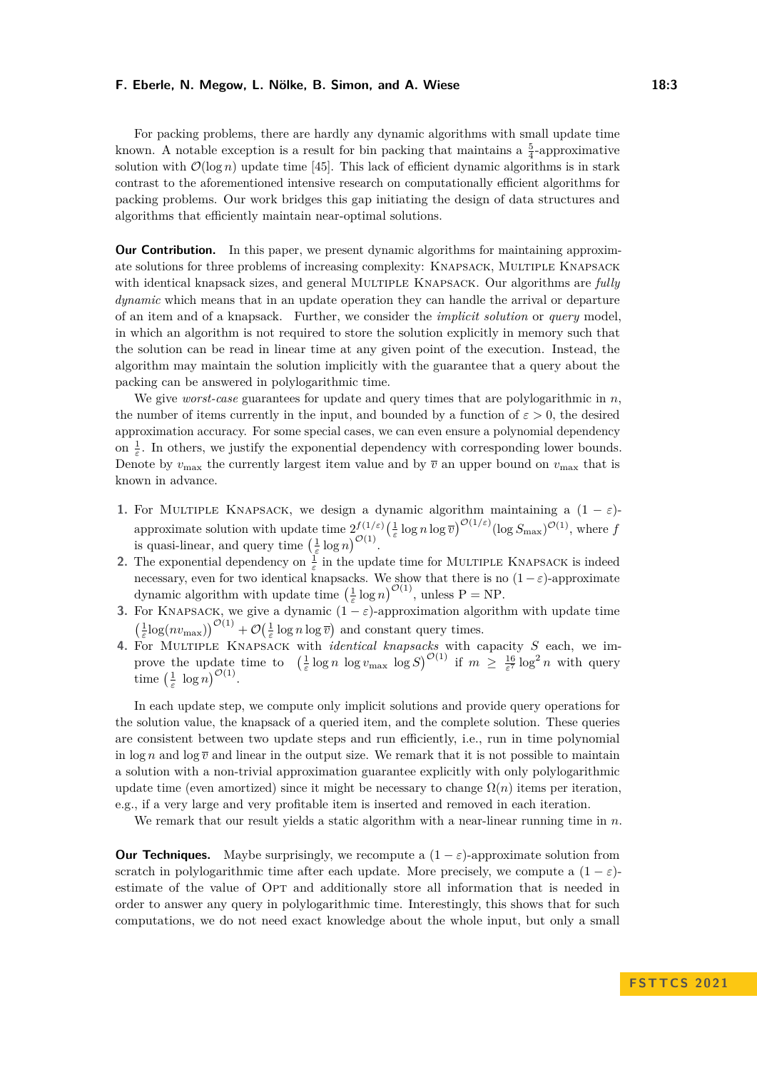For packing problems, there are hardly any dynamic algorithms with small update time known. A notable exception is a result for bin packing that maintains a  $\frac{5}{4}$ -approximative solution with  $\mathcal{O}(\log n)$  update time [\[45\]](#page-15-7). This lack of efficient dynamic algorithms is in stark contrast to the aforementioned intensive research on computationally efficient algorithms for packing problems. Our work bridges this gap initiating the design of data structures and algorithms that efficiently maintain near-optimal solutions.

**Our Contribution.** In this paper, we present dynamic algorithms for maintaining approximate solutions for three problems of increasing complexity: Knapsack, Multiple Knapsack with identical knapsack sizes, and general Multiple Knapsack. Our algorithms are *fully dynamic* which means that in an update operation they can handle the arrival or departure of an item and of a knapsack. Further, we consider the *implicit solution* or *query* model, in which an algorithm is not required to store the solution explicitly in memory such that the solution can be read in linear time at any given point of the execution. Instead, the algorithm may maintain the solution implicitly with the guarantee that a query about the packing can be answered in polylogarithmic time.

We give *worst-case* guarantees for update and query times that are polylogarithmic in *n*, the number of items currently in the input, and bounded by a function of  $\varepsilon > 0$ , the desired approximation accuracy. For some special cases, we can even ensure a polynomial dependency on  $\frac{1}{\varepsilon}$ . In others, we justify the exponential dependency with corresponding lower bounds. Denote by  $v_{\text{max}}$  the currently largest item value and by  $\bar{v}$  an upper bound on  $v_{\text{max}}$  that is known in advance.

- **1.** For MULTIPLE KNAPSACK, we design a dynamic algorithm maintaining a  $(1 \varepsilon)$ approximate solution with update time  $2^{f(1/\varepsilon)}_{\mathcal{O}(1)}(\frac{1}{\varepsilon} \log n \log \overline{v})^{\mathcal{O}(1/\varepsilon)}(\log S_{\max})^{\mathcal{O}(1)}$ , where *f* is quasi-linear, and query time  $\left(\frac{1}{\varepsilon} \log n\right)^{\mathcal{O}(1)}$ .
- **2.** The exponential dependency on  $\frac{1}{\varepsilon}$  in the update time for MULTIPLE KNAPSACK is indeed necessary, even for two identical knapsacks. We show that there is no  $(1 - \varepsilon)$ -approximate dynamic algorithm with update time  $\left(\frac{1}{\varepsilon} \log n\right)^{\mathcal{O}(1)}$ , unless P = NP.
- **3.** For KNAPSACK, we give a dynamic  $(1 \varepsilon)$ -approximation algorithm with update time  $\left(\frac{1}{\varepsilon}\log(nv_{\text{max}})\right)^{\mathcal{O}(1)} + \mathcal{O}\left(\frac{1}{\varepsilon}\log n \log \overline{v}\right)$  and constant query times.
- **4.** For Multiple Knapsack with *identical knapsacks* with capacity *S* each, we improve the update time to  $\left(\frac{1}{\varepsilon}\log n \log v_{\max}\log S\right)^{\mathcal{O}(1)}$  if  $m \geq \frac{16}{\varepsilon^7}\log^2 n$  with query time  $\left(\frac{1}{\varepsilon} \log n\right)^{\mathcal{O}(1)}$ .

In each update step, we compute only implicit solutions and provide query operations for the solution value, the knapsack of a queried item, and the complete solution. These queries are consistent between two update steps and run efficiently, i.e., run in time polynomial in  $\log n$  and  $\log \overline{v}$  and linear in the output size. We remark that it is not possible to maintain a solution with a non-trivial approximation guarantee explicitly with only polylogarithmic update time (even amortized) since it might be necessary to change  $\Omega(n)$  items per iteration, e.g., if a very large and very profitable item is inserted and removed in each iteration.

We remark that our result yields a static algorithm with a near-linear running time in *n*.

**Our Techniques.** Maybe surprisingly, we recompute a  $(1 - \varepsilon)$ -approximate solution from scratch in polylogarithmic time after each update. More precisely, we compute a  $(1 - \varepsilon)$ estimate of the value of Opt and additionally store all information that is needed in order to answer any query in polylogarithmic time. Interestingly, this shows that for such computations, we do not need exact knowledge about the whole input, but only a small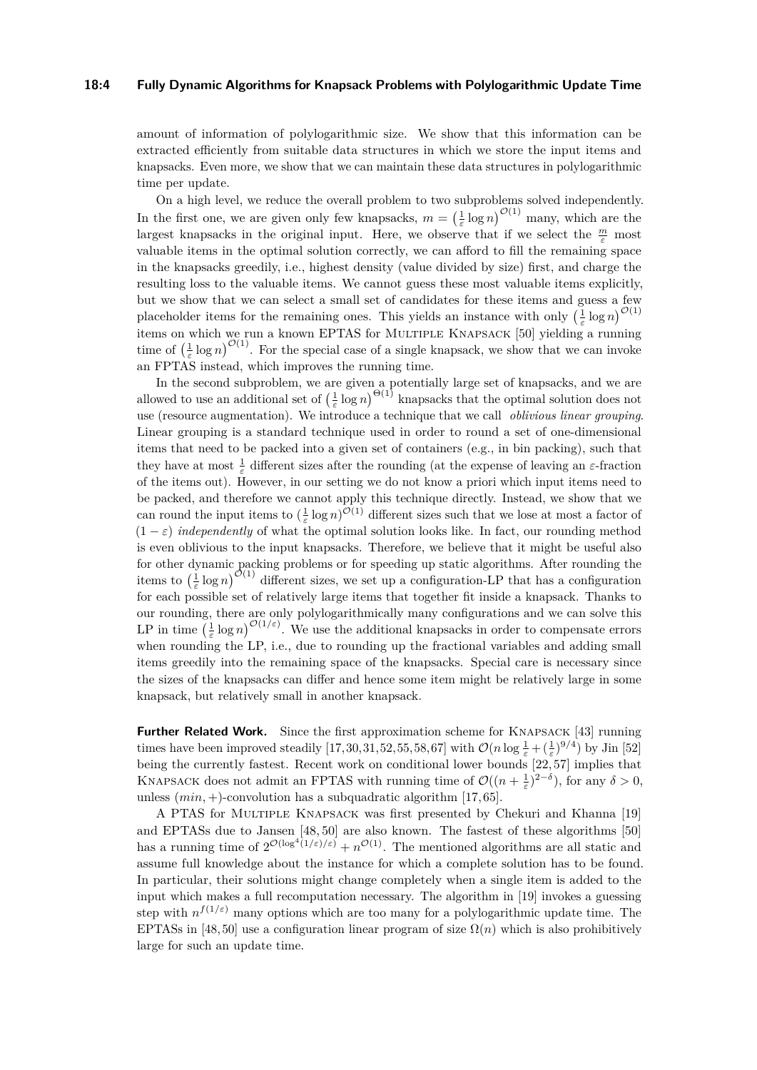### **18:4 Fully Dynamic Algorithms for Knapsack Problems with Polylogarithmic Update Time**

amount of information of polylogarithmic size. We show that this information can be extracted efficiently from suitable data structures in which we store the input items and knapsacks. Even more, we show that we can maintain these data structures in polylogarithmic time per update.

On a high level, we reduce the overall problem to two subproblems solved independently. In the first one, we are given only few knapsacks,  $m = \left(\frac{1}{\varepsilon} \log n\right)^{\mathcal{O}(1)}$  many, which are the largest knapsacks in the original input. Here, we observe that if we select the  $\frac{m}{\varepsilon}$  most valuable items in the optimal solution correctly, we can afford to fill the remaining space in the knapsacks greedily, i.e., highest density (value divided by size) first, and charge the resulting loss to the valuable items. We cannot guess these most valuable items explicitly, but we show that we can select a small set of candidates for these items and guess a few placeholder items for the remaining ones. This yields an instance with only  $\left(\frac{1}{\varepsilon} \log n\right)^{\mathcal{O}(1)}$ items on which we run a known EPTAS for MULTIPLE KNAPSACK [\[50\]](#page-16-2) yielding a running time of  $\left(\frac{1}{\varepsilon}\log n\right)^{\mathcal{O}(1)}$ . For the special case of a single knapsack, we show that we can invoke an FPTAS instead, which improves the running time.

In the second subproblem, we are given a potentially large set of knapsacks, and we are allowed to use an additional set of  $\left(\frac{1}{\varepsilon}\log n\right)^{\Theta(1)}$  knapsacks that the optimal solution does not use (resource augmentation). We introduce a technique that we call *oblivious linear grouping*. Linear grouping is a standard technique used in order to round a set of one-dimensional items that need to be packed into a given set of containers (e.g., in bin packing), such that they have at most  $\frac{1}{\varepsilon}$  different sizes after the rounding (at the expense of leaving an  $\varepsilon$ -fraction of the items out). However, in our setting we do not know a priori which input items need to be packed, and therefore we cannot apply this technique directly. Instead, we show that we can round the input items to  $(\frac{1}{\varepsilon} \log n)^{\mathcal{O}(1)}$  different sizes such that we lose at most a factor of  $(1 - \varepsilon)$  *independently* of what the optimal solution looks like. In fact, our rounding method is even oblivious to the input knapsacks. Therefore, we believe that it might be useful also for other dynamic packing problems or for speeding up static algorithms. After rounding the items to  $\left(\frac{1}{\varepsilon}\log n\right)^{\mathcal{O}(1)}$  different sizes, we set up a configuration-LP that has a configuration for each possible set of relatively large items that together fit inside a knapsack. Thanks to our rounding, there are only polylogarithmically many configurations and we can solve this LP in time  $\left(\frac{1}{\varepsilon}\log n\right)^{\mathcal{O}(1/\varepsilon)}$ . We use the additional knapsacks in order to compensate errors when rounding the LP, i.e., due to rounding up the fractional variables and adding small items greedily into the remaining space of the knapsacks. Special care is necessary since the sizes of the knapsacks can differ and hence some item might be relatively large in some knapsack, but relatively small in another knapsack.

**Further Related Work.** Since the first approximation scheme for KNAPSACK [\[43\]](#page-15-0) running times have been improved steadily [\[17,](#page-14-0)[30,](#page-15-8)[31,](#page-15-9)[52,](#page-16-0)[55,](#page-16-5)[58,](#page-16-6)[67\]](#page-16-7) with  $\mathcal{O}(n \log \frac{1}{\varepsilon} + (\frac{1}{\varepsilon})^{9/4})$  by Jin [\[52\]](#page-16-0) being the currently fastest. Recent work on conditional lower bounds [\[22,](#page-14-13) [57\]](#page-16-8) implies that KNAPSACK does not admit an FPTAS with running time of  $\mathcal{O}((n+\frac{1}{\varepsilon})^{2-\delta})$ , for any  $\delta > 0$ , unless (*min,* +)-convolution has a subquadratic algorithm [\[17,](#page-14-0) [65\]](#page-16-9).

A PTAS for Multiple Knapsack was first presented by Chekuri and Khanna [\[19\]](#page-14-1) and EPTASs due to Jansen [\[48,](#page-15-1) [50\]](#page-16-2) are also known. The fastest of these algorithms [\[50\]](#page-16-2) has a running time of  $2^{\mathcal{O}(\log^4(1/\varepsilon)/\varepsilon)} + n^{\mathcal{O}(1)}$ . The mentioned algorithms are all static and assume full knowledge about the instance for which a complete solution has to be found. In particular, their solutions might change completely when a single item is added to the input which makes a full recomputation necessary. The algorithm in [\[19\]](#page-14-1) invokes a guessing step with  $n^{f(1/\varepsilon)}$  many options which are too many for a polylogarithmic update time. The EPTASs in [\[48,](#page-15-1) [50\]](#page-16-2) use a configuration linear program of size  $\Omega(n)$  which is also prohibitively large for such an update time.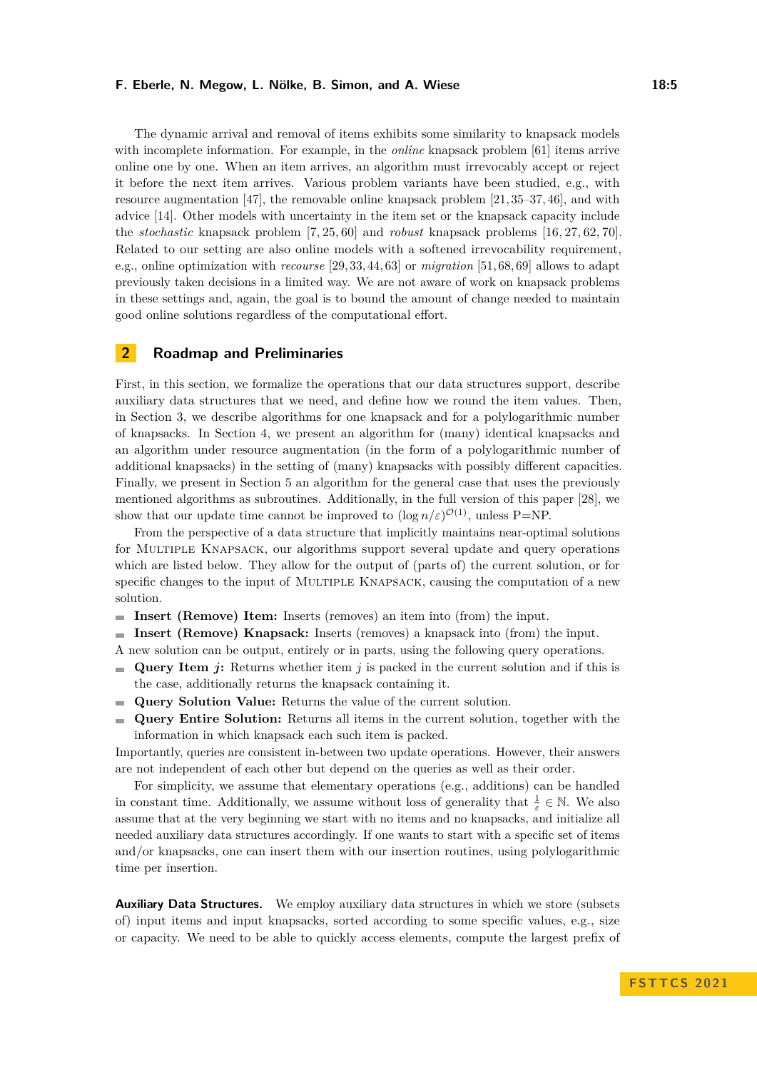The dynamic arrival and removal of items exhibits some similarity to knapsack models with incomplete information. For example, in the *online* knapsack problem [\[61\]](#page-16-10) items arrive online one by one. When an item arrives, an algorithm must irrevocably accept or reject it before the next item arrives. Various problem variants have been studied, e.g., with resource augmentation [\[47\]](#page-15-10), the removable online knapsack problem [\[21,](#page-14-14) [35–](#page-15-11)[37,](#page-15-12) [46\]](#page-15-13), and with advice [\[14\]](#page-14-15). Other models with uncertainty in the item set or the knapsack capacity include the *stochastic* knapsack problem [\[7,](#page-13-5) [25,](#page-14-16) [60\]](#page-16-11) and *robust* knapsack problems [\[16,](#page-14-17) [27,](#page-14-18) [62,](#page-16-12) [70\]](#page-16-13). Related to our setting are also online models with a softened irrevocability requirement, e.g., online optimization with *recourse* [\[29,](#page-15-14) [33,](#page-15-15) [44,](#page-15-16) [63\]](#page-16-14) or *migration* [\[51,](#page-16-15) [68,](#page-16-16) [69\]](#page-16-17) allows to adapt previously taken decisions in a limited way. We are not aware of work on knapsack problems in these settings and, again, the goal is to bound the amount of change needed to maintain good online solutions regardless of the computational effort.

# **2 Roadmap and Preliminaries**

First, in this section, we formalize the operations that our data structures support, describe auxiliary data structures that we need, and define how we round the item values. Then, in Section [3,](#page-5-0) we describe algorithms for one knapsack and for a polylogarithmic number of knapsacks. In Section [4,](#page-7-0) we present an algorithm for (many) identical knapsacks and an algorithm under resource augmentation (in the form of a polylogarithmic number of additional knapsacks) in the setting of (many) knapsacks with possibly different capacities. Finally, we present in Section [5](#page-10-0) an algorithm for the general case that uses the previously mentioned algorithms as subroutines. Additionally, in the full version of this paper [\[28\]](#page-14-19), we show that our update time cannot be improved to  $(\log n/\varepsilon)^{\mathcal{O}(1)}$ , unless P=NP.

From the perspective of a data structure that implicitly maintains near-optimal solutions for Multiple Knapsack, our algorithms support several update and query operations which are listed below. They allow for the output of (parts of) the current solution, or for specific changes to the input of MULTIPLE KNAPSACK, causing the computation of a new solution.

- **Insert (Remove) Item:** Inserts (removes) an item into (from) the input.
- **Insert (Remove) Knapsack:** Inserts (removes) a knapsack into (from) the input.

A new solution can be output, entirely or in parts, using the following query operations.

- **Query Item** *j***:** Returns whether item *j* is packed in the current solution and if this is  $\blacksquare$ the case, additionally returns the knapsack containing it.
- **Query Solution Value:** Returns the value of the current solution.  $\sim$
- $\rightarrow$ **Query Entire Solution:** Returns all items in the current solution, together with the information in which knapsack each such item is packed.

Importantly, queries are consistent in-between two update operations. However, their answers are not independent of each other but depend on the queries as well as their order.

For simplicity, we assume that elementary operations (e.g., additions) can be handled in constant time. Additionally, we assume without loss of generality that  $\frac{1}{\varepsilon} \in \mathbb{N}$ . We also assume that at the very beginning we start with no items and no knapsacks, and initialize all needed auxiliary data structures accordingly. If one wants to start with a specific set of items and/or knapsacks, one can insert them with our insertion routines, using polylogarithmic time per insertion.

**Auxiliary Data Structures.** We employ auxiliary data structures in which we store (subsets of) input items and input knapsacks, sorted according to some specific values, e.g., size or capacity. We need to be able to quickly access elements, compute the largest prefix of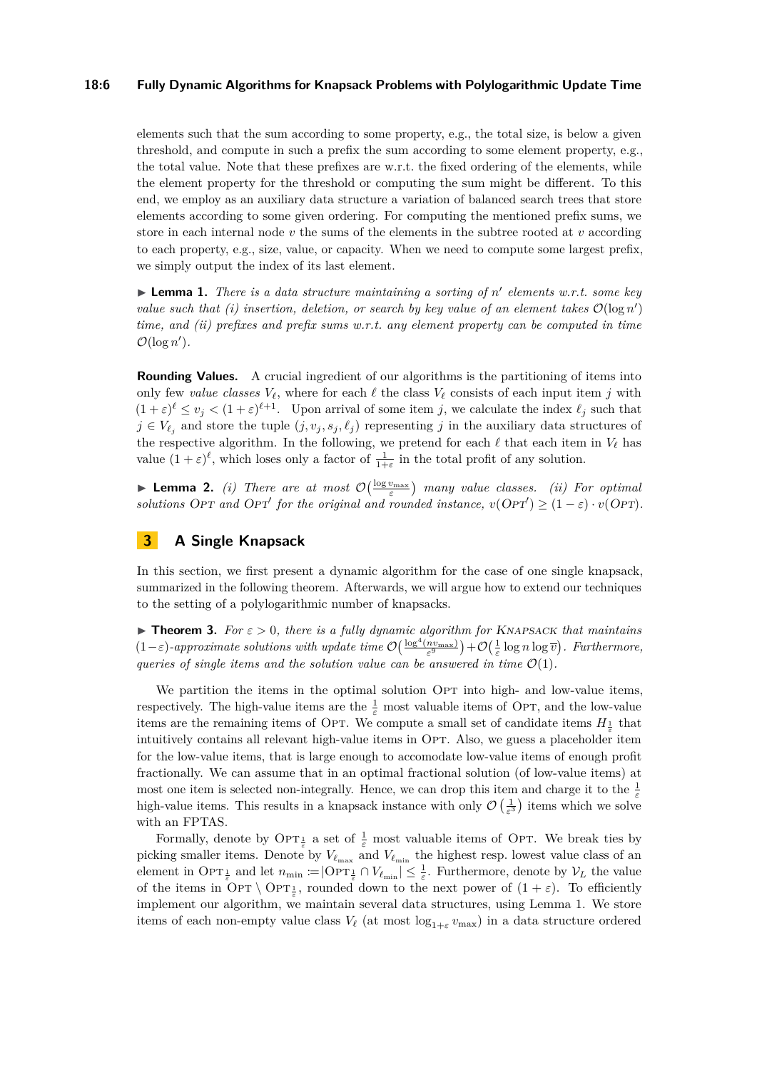### **18:6 Fully Dynamic Algorithms for Knapsack Problems with Polylogarithmic Update Time**

elements such that the sum according to some property, e.g., the total size, is below a given threshold, and compute in such a prefix the sum according to some element property, e.g., the total value. Note that these prefixes are w.r.t. the fixed ordering of the elements, while the element property for the threshold or computing the sum might be different. To this end, we employ as an auxiliary data structure a variation of balanced search trees that store elements according to some given ordering. For computing the mentioned prefix sums, we store in each internal node  $v$  the sums of the elements in the subtree rooted at  $v$  according to each property, e.g., size, value, or capacity. When we need to compute some largest prefix, we simply output the index of its last element.

<span id="page-5-1"></span>▶ **Lemma 1.** *There is a data structure maintaining a sorting of n' elements w.r.t. some key value such that (i) insertion, deletion, or search by key value of an element takes*  $\mathcal{O}(\log n')$ *time, and (ii) prefixes and prefix sums w.r.t. any element property can be computed in time*  $\mathcal{O}(\log n')$ .

**Rounding Values.** A crucial ingredient of our algorithms is the partitioning of items into only few *value classes*  $V_\ell$ , where for each  $\ell$  the class  $V_\ell$  consists of each input item *j* with  $(1+\varepsilon)^{\ell} \le v_j < (1+\varepsilon)^{\ell+1}$ . Upon arrival of some item *j*, we calculate the index  $\ell_j$  such that  $j \in V_{\ell}$  and store the tuple  $(j, v_j, s_j, \ell_j)$  representing *j* in the auxiliary data structures of the respective algorithm. In the following, we pretend for each  $\ell$  that each item in  $V_{\ell}$  has value  $(1 + \varepsilon)^{\ell}$ , which loses only a factor of  $\frac{1}{1+\varepsilon}$  in the total profit of any solution.

<span id="page-5-3"></span>**Lemma 2.** *(i)* There are at most  $\mathcal{O}\left(\frac{\log v_{\max}}{\varepsilon}\right)$  many value classes. *(ii)* For optimal *solutions* OPT and OPT' for the original and rounded instance,  $v(OPT') \geq (1 - \varepsilon) \cdot v(OPT)$ .

# <span id="page-5-0"></span>**3 A Single Knapsack**

In this section, we first present a dynamic algorithm for the case of one single knapsack, summarized in the following theorem. Afterwards, we will argue how to extend our techniques to the setting of a polylogarithmic number of knapsacks.

<span id="page-5-2"></span>▶ **Theorem 3.** *For ε >* 0*, there is a fully dynamic algorithm for* Knapsack *that maintains*  $(1-\varepsilon)$ -approximate solutions with update time  $\mathcal{O}\left(\frac{\log^4(n v_{\max})}{\varepsilon^9}\right) + \mathcal{O}\left(\frac{1}{\varepsilon}\log n \log \overline{v}\right)$ . Furthermore, *queries of single items and the solution value can be answered in time*  $\mathcal{O}(1)$ *.* 

We partition the items in the optimal solution OPT into high- and low-value items, respectively. The high-value items are the  $\frac{1}{\varepsilon}$  most valuable items of OPT, and the low-value items are the remaining items of OPT. We compute a small set of candidate items  $H_{\frac{1}{\varepsilon}}$  that intuitively contains all relevant high-value items in OPT. Also, we guess a placeholder item for the low-value items, that is large enough to accomodate low-value items of enough profit fractionally. We can assume that in an optimal fractional solution (of low-value items) at most one item is selected non-integrally. Hence, we can drop this item and charge it to the  $\frac{1}{\varepsilon}$ high-value items. This results in a knapsack instance with only  $\mathcal{O}\left(\frac{1}{\varepsilon^3}\right)$  items which we solve with an FPTAS.

Formally, denote by  $\text{OPT}_{\frac{1}{\varepsilon}}$  a set of  $\frac{1}{\varepsilon}$  most valuable items of OPT. We break ties by picking smaller items. Denote by  $V_{\ell_{\text{max}}}$  and  $V_{\ell_{\text{min}}}$  the highest resp. lowest value class of an element in Op $T_{\frac{1}{\varepsilon}}$  and let  $n_{\min} := |\text{OPT}_{\frac{1}{\varepsilon}} \cap V_{\ell_{\min}}| \leq \frac{1}{\varepsilon}$ . Furthermore, denote by  $V_L$  the value of the items in OPT  $\setminus$  OPT<sub> $\frac{1}{\varepsilon}$ </sub>, rounded down to the next power of  $(1 + \varepsilon)$ . To efficiently implement our algorithm, we maintain several data structures, using Lemma [1.](#page-5-1) We store items of each non-empty value class  $V_{\ell}$  (at most  $\log_{1+\varepsilon} v_{\text{max}}$ ) in a data structure ordered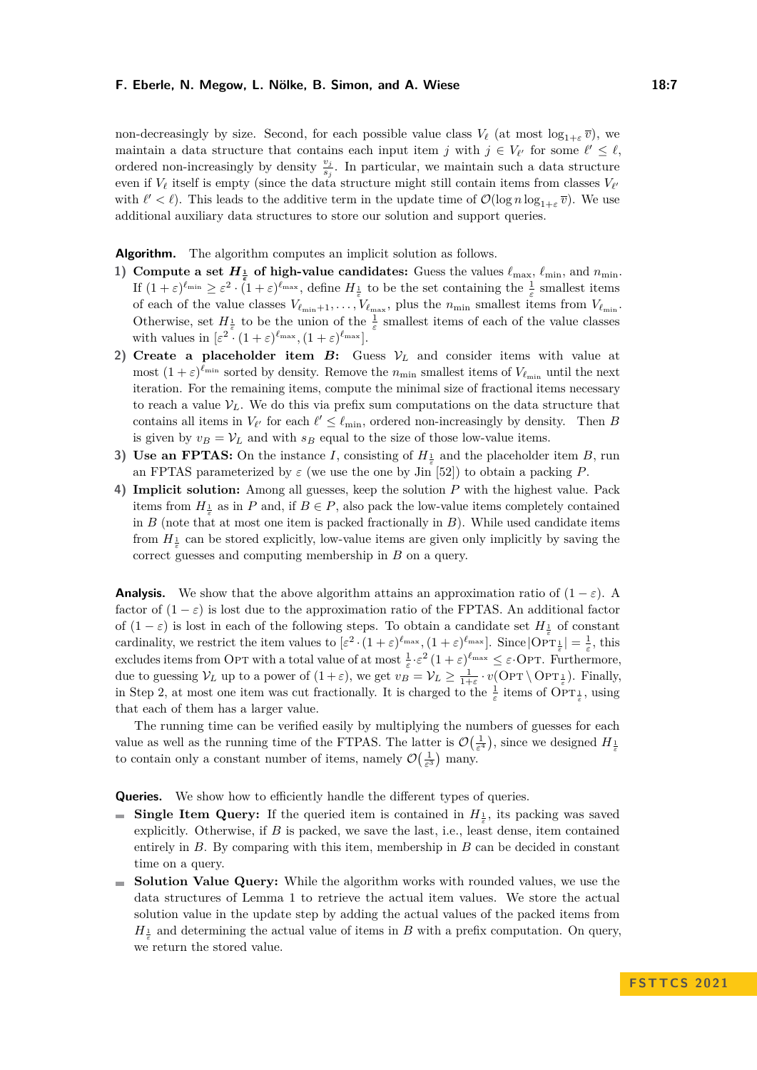non-decreasingly by size. Second, for each possible value class  $V_{\ell}$  (at most  $\log_{1+\varepsilon} \overline{v}$ ), we maintain a data structure that contains each input item *j* with  $j \in V_{\ell'}$  for some  $\ell' \leq \ell$ , ordered non-increasingly by density  $\frac{v_j}{s_j}$ . In particular, we maintain such a data structure even if *V<sup>ℓ</sup>* itself is empty (since the data structure might still contain items from classes *V<sup>ℓ</sup>* ′ with  $\ell' < \ell$ ). This leads to the additive term in the update time of  $\mathcal{O}(\log n \log_{1+\varepsilon} \overline{v})$ . We use additional auxiliary data structures to store our solution and support queries.

**Algorithm.** The algorithm computes an implicit solution as follows.

- **1) Compute a set**  $H_{\frac{1}{\epsilon}}$  of high-value candidates: Guess the values  $\ell_{\max}$ ,  $\ell_{\min}$ , and  $n_{\min}$ . If  $(1+\varepsilon)^{\ell_{\min}} \geq \varepsilon^2 \cdot (1+\varepsilon)^{\ell_{\max}}$ , define  $H_{\frac{1}{\varepsilon}}$  to be the set containing the  $\frac{1}{\varepsilon}$  smallest items of each of the value classes  $V_{\ell_{\min}+1}, \ldots, V_{\ell_{\max}}$ , plus the  $n_{\min}$  smallest items from  $V_{\ell_{\min}}$ . Otherwise, set  $H_{\frac{1}{\varepsilon}}$  to be the union of the  $\frac{1}{\varepsilon}$  smallest items of each of the value classes with values in  $[\varepsilon^2 \cdot (1+\varepsilon)^{\ell_{\max}}, (1+\varepsilon)^{\ell_{\max}}]$ .
- **2) Create a placeholder item** *B***:** Guess  $V_L$  and consider items with value at most  $(1+\varepsilon)^{\ell_{\min}}$  sorted by density. Remove the  $n_{\min}$  smallest items of  $V_{\ell_{\min}}$  until the next iteration. For the remaining items, compute the minimal size of fractional items necessary to reach a value  $V_L$ . We do this via prefix sum computations on the data structure that contains all items in  $V_{\ell'}$  for each  $\ell' \leq \ell_{\min}$ , ordered non-increasingly by density. Then *B* is given by  $v_B = V_L$  and with  $s_B$  equal to the size of those low-value items.
- **3) Use an FPTAS:** On the instance *I*, consisting of  $H_{\frac{1}{\varepsilon}}$  and the placeholder item *B*, run an FPTAS parameterized by  $\varepsilon$  (we use the one by Jin [\[52\]](#page-16-0)) to obtain a packing *P*.
- **4) Implicit solution:** Among all guesses, keep the solution *P* with the highest value. Pack items from  $H_{\frac{1}{\varepsilon}}$  as in *P* and, if  $B \in P$ , also pack the low-value items completely contained in *B* (note that at most one item is packed fractionally in *B*). While used candidate items from  $H_{\frac{1}{\varepsilon}}$  can be stored explicitly, low-value items are given only implicitly by saving the correct guesses and computing membership in *B* on a query.

**Analysis.** We show that the above algorithm attains an approximation ratio of  $(1 - \varepsilon)$ . A factor of  $(1 - \varepsilon)$  is lost due to the approximation ratio of the FPTAS. An additional factor of  $(1 - \varepsilon)$  is lost in each of the following steps. To obtain a candidate set  $H_{\frac{1}{\varepsilon}}$  of constant cardinality, we restrict the item values to  $[\varepsilon^2 \cdot (1+\varepsilon)^{\ell_{\max}}, (1+\varepsilon)^{\ell_{\max}}]$ . Since  $\overline{OPT_{\varepsilon}}| = \frac{1}{\varepsilon}$ , this excludes items from OPT with a total value of at most  $\frac{1}{\varepsilon} \cdot \varepsilon^2 (1 + \varepsilon)^{\ell_{\max}} \leq \varepsilon$ ·OPT. Furthermore, due to guessing  $V_L$  up to a power of  $(1+\varepsilon)$ , we get  $v_B = V_L \geq \frac{1}{1+\varepsilon} \cdot v(\text{OPT} \setminus \text{OPT}_{\frac{1}{\varepsilon}})$ . Finally, in Step 2, at most one item was cut fractionally. It is charged to the  $\frac{1}{\varepsilon}$  items of  $\overline{OPT}^1_{\frac{1}{\varepsilon}}$ , using that each of them has a larger value.

The running time can be verified easily by multiplying the numbers of guesses for each value as well as the running time of the FTPAS. The latter is  $\mathcal{O}(\frac{1}{\varepsilon^4})$ , since we designed  $H_{\frac{1}{\varepsilon}}$ to contain only a constant number of items, namely  $\mathcal{O}\left(\frac{1}{\varepsilon^3}\right)$  many.

**Queries.** We show how to efficiently handle the different types of queries.

- **Single Item Query:** If the queried item is contained in  $H_{\frac{1}{\varepsilon}}$ , its packing was saved explicitly. Otherwise, if *B* is packed, we save the last, i.e., least dense, item contained entirely in *B*. By comparing with this item, membership in *B* can be decided in constant time on a query.
- **Solution Value Query:** While the algorithm works with rounded values, we use the data structures of Lemma [1](#page-5-1) to retrieve the actual item values. We store the actual solution value in the update step by adding the actual values of the packed items from  $H_{\frac{1}{\varepsilon}}$  and determining the actual value of items in *B* with a prefix computation. On query, we return the stored value.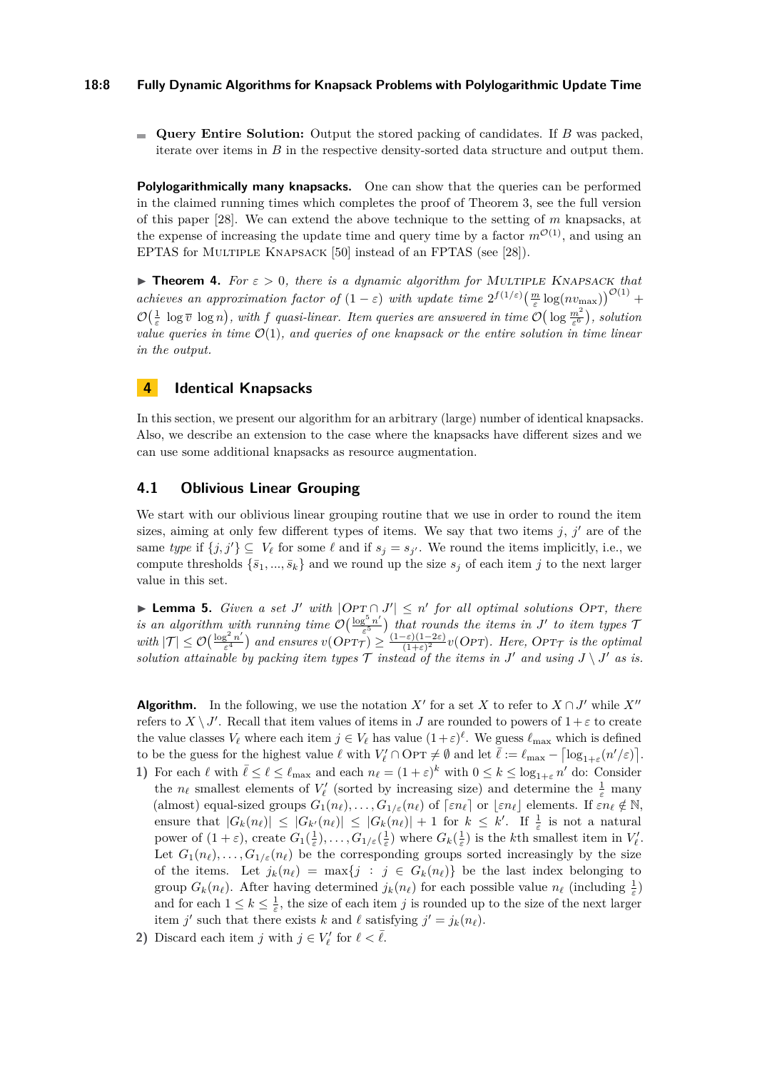### **18:8 Fully Dynamic Algorithms for Knapsack Problems with Polylogarithmic Update Time**

**Query Entire Solution:** Output the stored packing of candidates. If *B* was packed, iterate over items in *B* in the respective density-sorted data structure and output them.

**Polylogarithmically many knapsacks.** One can show that the queries can be performed in the claimed running times which completes the proof of Theorem [3,](#page-5-2) see the full version of this paper [\[28\]](#page-14-19). We can extend the above technique to the setting of *m* knapsacks, at the expense of increasing the update time and query time by a factor  $m^{\mathcal{O}(1)}$ , and using an EPTAS for Multiple Knapsack [\[50\]](#page-16-2) instead of an FPTAS (see [\[28\]](#page-14-19)).

<span id="page-7-1"></span>▶ **Theorem 4.** *For ε >* 0*, there is a dynamic algorithm for* Multiple Knapsack *that achieves an approximation factor of*  $(1 - \varepsilon)$  *with update time*  $2^{f(1/\varepsilon)} \left(\frac{m}{\varepsilon} \log(nv_{\text{max}})\right)^{\mathcal{O}(1)}$  +  $\mathcal{O}(\frac{1}{\varepsilon} \log \overline{v} \log n)$ , with f quasi-linear. Item queries are answered in time  $\mathcal{O}(\log \frac{m^2}{\varepsilon^6})$ , solution *value queries in time* O(1)*, and queries of one knapsack or the entire solution in time linear in the output.*

# <span id="page-7-0"></span>**4 Identical Knapsacks**

In this section, we present our algorithm for an arbitrary (large) number of identical knapsacks. Also, we describe an extension to the case where the knapsacks have different sizes and we can use some additional knapsacks as resource augmentation.

# <span id="page-7-3"></span>**4.1 Oblivious Linear Grouping**

We start with our oblivious linear grouping routine that we use in order to round the item sizes, aiming at only few different types of items. We say that two items  $j, j'$  are of the same *type* if  $\{j, j'\} \subseteq V_\ell$  for some  $\ell$  and if  $s_j = s_{j'}$ . We round the items implicitly, i.e., we compute thresholds  $\{\bar{s}_1, ..., \bar{s}_k\}$  and we round up the size  $s_j$  of each item *j* to the next larger value in this set.

<span id="page-7-2"></span>▶ **Lemma 5.** *Given a set J' with*  $|OPT \cap J'| \le n'$  *for all optimal solutions* OPT, *there is an algorithm with running time*  $\mathcal{O}\left(\frac{\log^5 n}{\epsilon^5}\right)$ *ε* 5 *that rounds the items in J* ′ *to item types* T *with*  $|\mathcal{T}| \leq \mathcal{O}\left(\frac{\log^2 n}{\varepsilon^4}\right)$  $\frac{e^{2}n'}{\epsilon^{4}}$ ) and ensures  $v(OPT_{\mathcal{T}}) \geq \frac{(1-\varepsilon)(1-2\varepsilon)}{(1+\varepsilon)^{2}}$  $\frac{-\varepsilon(1-2\varepsilon)}{(1+\varepsilon)^2}v(OPT)$ *. Here, OPT* $\tau$  *is the optimal solution attainable by packing item types*  $\mathcal T$  *instead of the items in*  $J'$  *and using*  $J \setminus J'$  *as is.* 

**Algorithm.** In the following, we use the notation  $X'$  for a set  $X$  to refer to  $X \cap J'$  while  $X''$ refers to  $X \setminus J'$ . Recall that item values of items in *J* are rounded to powers of  $1 + \varepsilon$  to create the value classes  $V_{\ell}$  where each item  $j \in V_{\ell}$  has value  $(1+\varepsilon)^{\ell}$ . We guess  $\ell_{\max}$  which is defined to be the guess for the highest value  $\ell$  with  $V'_{\ell} \cap \text{OPT} \neq \emptyset$  and let  $\bar{\ell} := \ell_{\max} - \left\lceil \log_{1+\varepsilon}(n'/\varepsilon) \right\rceil$ .

- **1)** For each  $\ell$  with  $\bar{\ell} \leq \ell \leq \ell_{\max}$  and each  $n_{\ell} = (1 + \varepsilon)^k$  with  $0 \leq k \leq \log_{1+\varepsilon} n'$  do: Consider the  $n_\ell$  smallest elements of  $V'_\ell$  (sorted by increasing size) and determine the  $\frac{1}{\varepsilon}$  many (almost) equal-sized groups  $G_1(n_\ell), \ldots, G_{1/\varepsilon}(n_\ell)$  of  $\lceil \varepsilon n_\ell \rceil$  or  $\lfloor \varepsilon n_\ell \rfloor$  elements. If  $\varepsilon n_\ell \notin \mathbb{N}$ , ensure that  $|G_k(n_\ell)| \leq |G_{k'}(n_\ell)| \leq |G_k(n_\ell)| + 1$  for  $k \leq k'$ . If  $\frac{1}{\varepsilon}$  is not a natural power of  $(1+\varepsilon)$ , create  $G_1(\frac{1}{\varepsilon})$ , ...,  $G_{1/\varepsilon}(\frac{1}{\varepsilon})$  where  $G_k(\frac{1}{\varepsilon})$  is the *k*th smallest item in  $V'_\ell$ . Let  $G_1(n_\ell), \ldots, G_{1/\varepsilon}(n_\ell)$  be the corresponding groups sorted increasingly by the size of the items. Let  $j_k(n_\ell) = \max\{j : j \in G_k(n_\ell)\}\$  be the last index belonging to group  $G_k(n_\ell)$ . After having determined  $j_k(n_\ell)$  for each possible value  $n_\ell$  (including  $\frac{1}{\varepsilon}$ ) and for each  $1 \leq k \leq \frac{1}{\varepsilon}$ , the size of each item *j* is rounded up to the size of the next larger item *j'* such that there exists *k* and  $\ell$  satisfying  $j' = j_k(n_\ell)$ .
- **2)** Discard each item *j* with  $j \in V'_\ell$  for  $\ell < \overline{\ell}$ .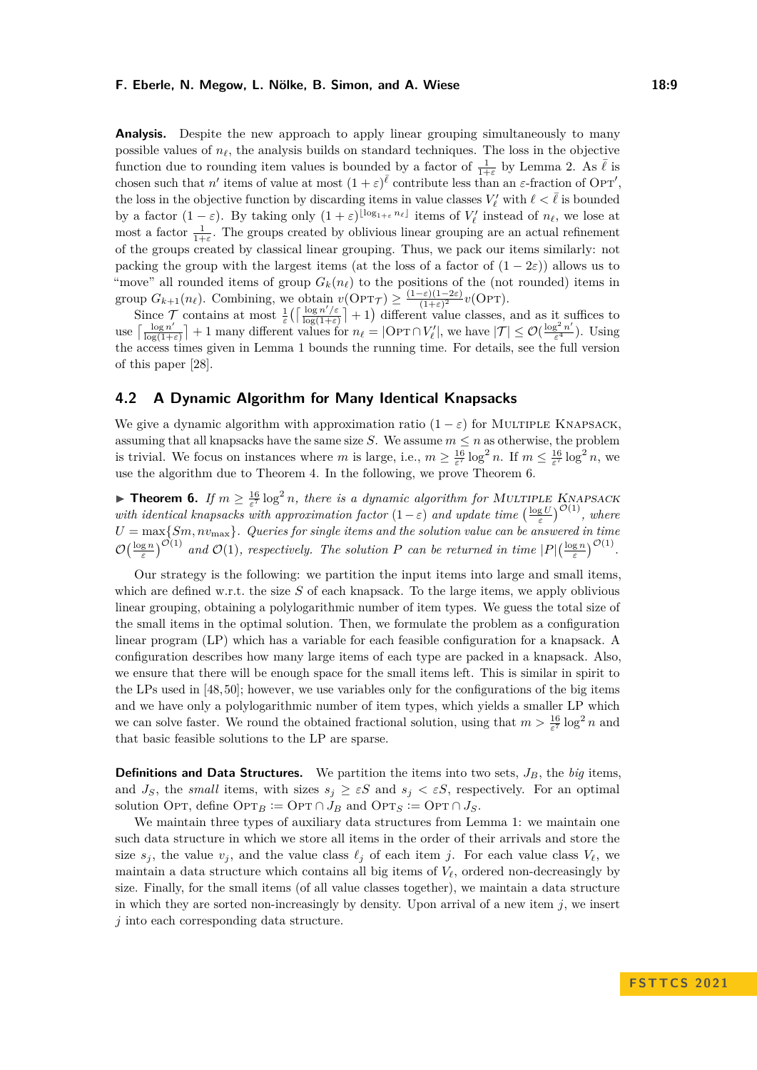**Analysis.** Despite the new approach to apply linear grouping simultaneously to many possible values of  $n_\ell$ , the analysis builds on standard techniques. The loss in the objective function due to rounding item values is bounded by a factor of  $\frac{1}{1+\varepsilon}$  by Lemma [2.](#page-5-3) As  $\overline{\ell}$  is chosen such that *n'* items of value at most  $(1 + \varepsilon)^{\bar{\ell}}$  contribute less than an  $\varepsilon$ -fraction of Opt', the loss in the objective function by discarding items in value classes  $V'_\ell$  with  $\ell < \bar{\ell}$  is bounded by a factor  $(1 - \varepsilon)$ . By taking only  $(1 + \varepsilon)^{\lfloor \log_{1+\varepsilon} n_\ell \rfloor}$  items of  $V'_\ell$  instead of  $n_\ell$ , we lose at most a factor  $\frac{1}{1+\epsilon}$ . The groups created by oblivious linear grouping are an actual refinement of the groups created by classical linear grouping. Thus, we pack our items similarly: not packing the group with the largest items (at the loss of a factor of  $(1 - 2\varepsilon)$ ) allows us to "move" all rounded items of group  $G_k(n_\ell)$  to the positions of the (not rounded) items in group  $G_{k+1}(n_\ell)$ . Combining, we obtain  $v(\text{OPT}_{\mathcal{T}}) \geq \frac{(1-\varepsilon)(1-2\varepsilon)}{(1+\varepsilon)^2}$  $\frac{(-\varepsilon)(1-2\varepsilon)}{(1+\varepsilon)^2}v(\text{OPT}).$ 

Since  $\mathcal{T}$  contains at most  $\frac{1}{\varepsilon} \left( \left\lceil \frac{\log n' / \varepsilon}{\log(1 + \varepsilon)} \right\rceil \right)$  $\frac{\log n'/\varepsilon}{\log(1+\varepsilon)}$  + 1) different value classes, and as it suffices to use  $\left[\frac{\log n'}{\log(1+1)}\right]$  $\frac{\log n'}{\log(1+\varepsilon)}$  + 1 many different values for  $n_\ell = |\text{OPT} \cap V'_\ell|$ , we have  $|\mathcal{T}| \leq \mathcal{O}(\frac{\log^2 n'}{\varepsilon^4})$  $\frac{g-n}{\varepsilon^4}$ ). Using the access times given in Lemma [1](#page-5-1) bounds the running time. For details, see the full version of this paper [\[28\]](#page-14-19).

# **4.2 A Dynamic Algorithm for Many Identical Knapsacks**

We give a dynamic algorithm with approximation ratio  $(1 - \varepsilon)$  for MULTIPLE KNAPSACK, assuming that all knapsacks have the same size *S*. We assume  $m \leq n$  as otherwise, the problem is trivial. We focus on instances where *m* is large, i.e.,  $m \ge \frac{16}{\varepsilon^7} \log^2 n$ . If  $m \le \frac{16}{\varepsilon^7} \log^2 n$ , we use the algorithm due to Theorem [4.](#page-7-1) In the following, we prove Theorem [6.](#page-8-0)

<span id="page-8-0"></span>**Theorem 6.** If  $m \geq \frac{16}{\epsilon^7} \log^2 n$ , there is a dynamic algorithm for MULTIPLE KNAPSACK *with identical knapsacks with approximation factor*  $(1 - \varepsilon)$  *and update time*  $\left(\frac{\log U}{\varepsilon}\right)^{\mathcal{O}(1)}$ *, where*  $U = \max\{Sm, nv_{\max}\}$ *. Queries for single items and the solution value can be answered in time*  $\mathcal{O}\left(\frac{\log n}{\varepsilon}\right)^{\mathcal{O}(1)}$  and  $\mathcal{O}(1)$ , respectively. The solution *P* can be returned in time  $|P|\left(\frac{\log n}{\varepsilon}\right)^{\mathcal{O}(1)}$ .

Our strategy is the following: we partition the input items into large and small items, which are defined w.r.t. the size *S* of each knapsack. To the large items, we apply oblivious linear grouping, obtaining a polylogarithmic number of item types. We guess the total size of the small items in the optimal solution. Then, we formulate the problem as a configuration linear program (LP) which has a variable for each feasible configuration for a knapsack. A configuration describes how many large items of each type are packed in a knapsack. Also, we ensure that there will be enough space for the small items left. This is similar in spirit to the LPs used in [\[48,](#page-15-1) [50\]](#page-16-2); however, we use variables only for the configurations of the big items and we have only a polylogarithmic number of item types, which yields a smaller LP which we can solve faster. We round the obtained fractional solution, using that  $m > \frac{16}{5^7} \log^2 n$  and that basic feasible solutions to the LP are sparse.

**Definitions and Data Structures.** We partition the items into two sets,  $J_B$ , the *big* items, and  $J_S$ , the *small* items, with sizes  $s_j \geq \varepsilon S$  and  $s_j < \varepsilon S$ , respectively. For an optimal solution OPT, define OPT<sub>*B*</sub> := OPT ∩ *J<sub>B</sub>* and OPT<sub>*S*</sub> := OPT ∩ *J<sub>S</sub>*.

We maintain three types of auxiliary data structures from Lemma [1:](#page-5-1) we maintain one such data structure in which we store all items in the order of their arrivals and store the size  $s_j$ , the value  $v_j$ , and the value class  $\ell_j$  of each item *j*. For each value class  $V_\ell$ , we maintain a data structure which contains all big items of  $V_\ell$ , ordered non-decreasingly by size. Finally, for the small items (of all value classes together), we maintain a data structure in which they are sorted non-increasingly by density. Upon arrival of a new item  $j$ , we insert *j* into each corresponding data structure.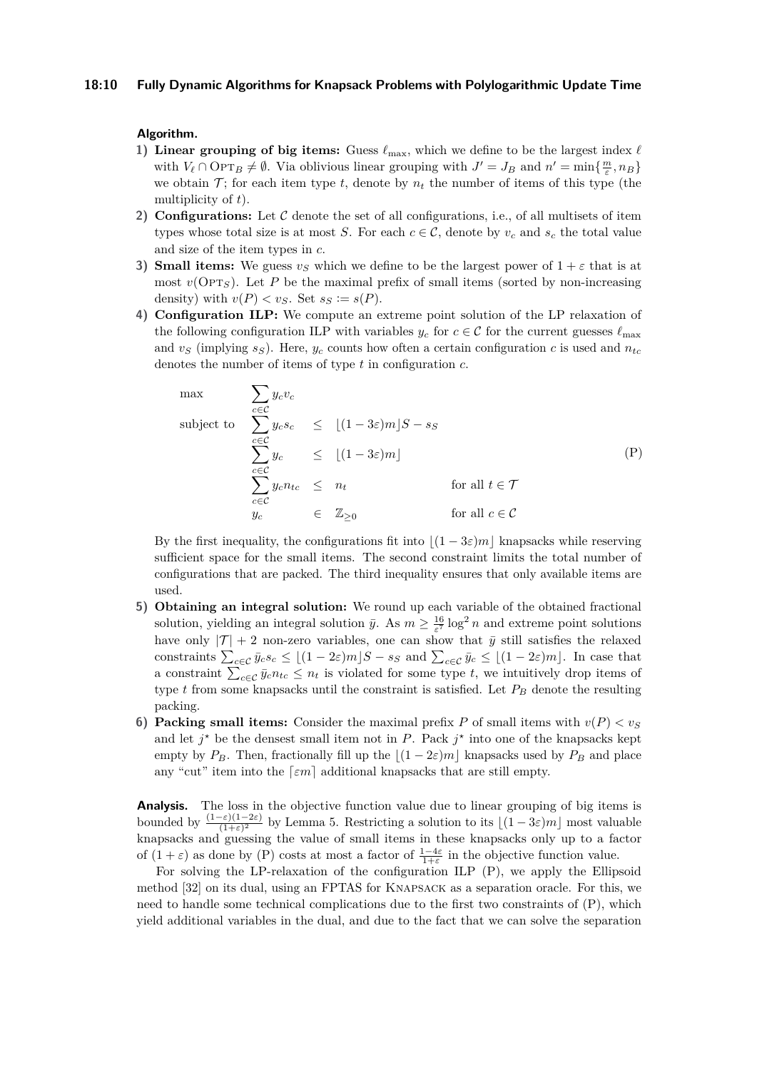### **Algorithm.**

- **1) Linear grouping of big items:** Guess  $\ell_{\text{max}}$ , which we define to be the largest index  $\ell$ with  $V_{\ell} \cap \text{OPT}_B \neq \emptyset$ . Via oblivious linear grouping with  $J' = J_B$  and  $n' = \min\{\frac{m}{\varepsilon}, n_B\}$ we obtain  $\mathcal{T}$ ; for each item type  $t$ , denote by  $n_t$  the number of items of this type (the multiplicity of *t*).
- **2) Configurations:** Let C denote the set of all configurations, i.e., of all multisets of item types whose total size is at most *S*. For each  $c \in C$ , denote by  $v_c$  and  $s_c$  the total value and size of the item types in *c*.
- **3) Small items:** We guess  $v_S$  which we define to be the largest power of  $1 + \varepsilon$  that is at most  $v(OPT<sub>S</sub>)$ . Let *P* be the maximal prefix of small items (sorted by non-increasing density) with  $v(P) < v_S$ . Set  $s_S := s(P)$ .
- **4) Configuration ILP:** We compute an extreme point solution of the LP relaxation of the following configuration ILP with variables  $y_c$  for  $c \in \mathcal{C}$  for the current guesses  $\ell_{\text{max}}$ and  $v_S$  (implying  $s_S$ ). Here,  $y_c$  counts how often a certain configuration *c* is used and  $n_{tc}$ denotes the number of items of type *t* in configuration *c*.

<span id="page-9-0"></span>
$$
\max \qquad \sum_{c \in C} y_c v_c
$$
\n
$$
\text{subject to} \quad \sum_{c \in C} y_c s_c \leq \lfloor (1 - 3\varepsilon)m \rfloor S - s_S
$$
\n
$$
\sum_{c \in C} y_c \leq \lfloor (1 - 3\varepsilon)m \rfloor
$$
\n
$$
\sum_{c \in C} y_c n_{tc} \leq n_t \qquad \text{for all } t \in \mathcal{T}
$$
\n
$$
y_c \in \mathbb{Z}_{\geq 0} \qquad \text{for all } c \in \mathcal{C}
$$
\n
$$
(P)
$$

By the first inequality, the configurations fit into  $|(1 - 3\varepsilon)m|$  knapsacks while reserving sufficient space for the small items. The second constraint limits the total number of configurations that are packed. The third inequality ensures that only available items are used.

- **5) Obtaining an integral solution:** We round up each variable of the obtained fractional solution, yielding an integral solution  $\bar{y}$ . As  $m \geq \frac{16}{\varepsilon^7} \log^2 n$  and extreme point solutions have only  $|\mathcal{T}| + 2$  non-zero variables, one can show that  $\bar{y}$  still satisfies the relaxed constraints  $\sum_{c \in \mathcal{C}} \bar{y}_c s_c \leq \lfloor (1 - 2\varepsilon)m \rfloor S - s_S$  and  $\sum_{c \in \mathcal{C}} \bar{y}_c \leq \lfloor (1 - 2\varepsilon)m \rfloor$ . In case that a constraint  $\sum_{c \in \mathcal{C}} \bar{y}_c n_{tc} \leq n_t$  is violated for some type *t*, we intuitively drop items of type *t* from some knapsacks until the constraint is satisfied. Let *P<sup>B</sup>* denote the resulting packing.
- **6) Packing small items:** Consider the maximal prefix *P* of small items with  $v(P) < v_S$ and let  $j^*$  be the densest small item not in *P*. Pack  $j^*$  into one of the knapsacks kept empty by  $P_B$ . Then, fractionally fill up the  $|(1 - 2\varepsilon)m|$  knapsacks used by  $P_B$  and place any "cut" item into the  $\lceil \varepsilon m \rceil$  additional knapsacks that are still empty.

**Analysis.** The loss in the objective function value due to linear grouping of big items is bounded by  $\frac{(1-\varepsilon)(1-2\varepsilon)}{(1+\varepsilon)^2}$  by Lemma [5.](#page-7-2) Restricting a solution to its  $\lfloor (1-3\varepsilon)m \rfloor$  most valuable knapsacks and guessing the value of small items in these knapsacks only up to a factor of  $(1 + \varepsilon)$  as done by [\(P\)](#page-9-0) costs at most a factor of  $\frac{1-4\varepsilon}{1+\varepsilon}$  in the objective function value.

For solving the LP-relaxation of the configuration ILP (P), we apply the Ellipsoid method [\[32\]](#page-15-17) on its dual, using an FPTAS for Knapsack as a separation oracle. For this, we need to handle some technical complications due to the first two constraints of (P), which yield additional variables in the dual, and due to the fact that we can solve the separation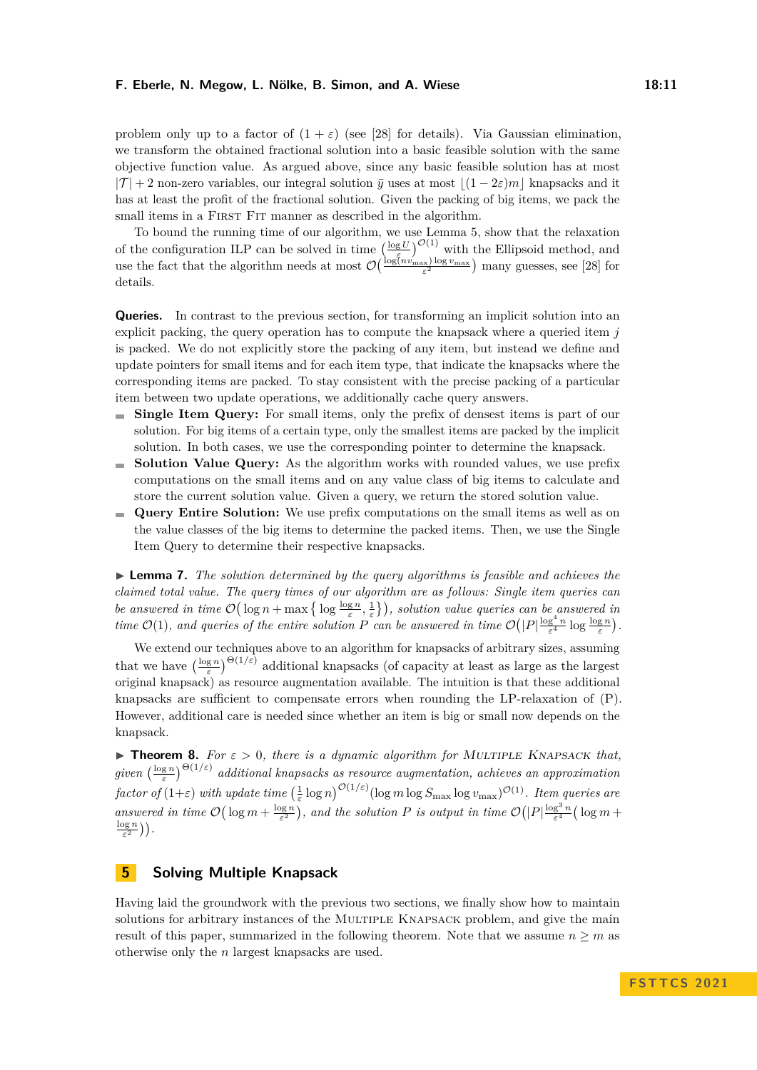problem only up to a factor of  $(1 + \varepsilon)$  (see [\[28\]](#page-14-19) for details). Via Gaussian elimination, we transform the obtained fractional solution into a basic feasible solution with the same objective function value. As argued above, since any basic feasible solution has at most  $|T| + 2$  non-zero variables, our integral solution  $\bar{y}$  uses at most  $|(1 - 2\varepsilon)m|$  knapsacks and it has at least the profit of the fractional solution. Given the packing of big items, we pack the small items in a FIRST FIT manner as described in the algorithm.

To bound the running time of our algorithm, we use Lemma [5,](#page-7-2) show that the relaxation of the configuration ILP can be solved in time  $\left(\frac{\log U}{\epsilon}\right)^{O(1)}$  with the Ellipsoid method, and use the fact that the algorithm needs at most  $\mathcal{O}\left(\frac{\log(n v_{\max}) \log v_{\max}}{\varepsilon^2}\right)$  many guesses, see [\[28\]](#page-14-19) for details.

**Queries.** In contrast to the previous section, for transforming an implicit solution into an explicit packing, the query operation has to compute the knapsack where a queried item *j* is packed. We do not explicitly store the packing of any item, but instead we define and update pointers for small items and for each item type, that indicate the knapsacks where the corresponding items are packed. To stay consistent with the precise packing of a particular item between two update operations, we additionally cache query answers.

- **Single Item Query:** For small items, only the prefix of densest items is part of our solution. For big items of a certain type, only the smallest items are packed by the implicit solution. In both cases, we use the corresponding pointer to determine the knapsack.
- **Solution Value Query:** As the algorithm works with rounded values, we use prefix  $\sim$ computations on the small items and on any value class of big items to calculate and store the current solution value. Given a query, we return the stored solution value.
- **Query Entire Solution:** We use prefix computations on the small items as well as on  $\rightarrow$ the value classes of the big items to determine the packed items. Then, we use the Single Item Query to determine their respective knapsacks.

▶ **Lemma 7.** *The solution determined by the query algorithms is feasible and achieves the claimed total value. The query times of our algorithm are as follows: Single item queries can be answered in time*  $\mathcal{O}(\log n + \max\left\{\log \frac{\log n}{\varepsilon}, \frac{1}{\varepsilon}\right\})$ , solution value queries can be answered in *time*  $\mathcal{O}(1)$ *, and queries of the entire solution P can be answered in time*  $\mathcal{O}(|P|\frac{\log^4 n}{\varepsilon^4} \log \frac{\log n}{\varepsilon})$ *.* 

We extend our techniques above to an algorithm for knapsacks of arbitrary sizes, assuming that we have  $\left(\frac{\log n}{\varepsilon}\right)^{\Theta(1/\varepsilon)}$  additional knapsacks (of capacity at least as large as the largest original knapsack) as resource augmentation available. The intuition is that these additional knapsacks are sufficient to compensate errors when rounding the LP-relaxation of (P). However, additional care is needed since whether an item is big or small now depends on the knapsack.

<span id="page-10-1"></span>**• Theorem 8.** For  $\varepsilon > 0$ , there is a dynamic algorithm for MULTIPLE KNAPSACK that,  $given \left(\frac{\log n}{\varepsilon}\right)^{\Theta(1/\varepsilon)}$  additional knapsacks as resource augmentation, achieves an approximation  $factor of (1+\varepsilon) \ with \ update \ time \ (\frac{1}{\varepsilon} \log n)^{\mathcal{O}(1/\varepsilon)} (\log m \log S_{\max} \log v_{\max})^{\mathcal{O}(1)}.$  *Item queries are answered in time*  $\mathcal{O}(\log m + \frac{\log n}{\varepsilon^2})$ , and the solution P is output in time  $\mathcal{O}(|P|\frac{\log^3 n}{\varepsilon^4}(\log m +$  $\frac{\log n}{\varepsilon^2}\big)\big).$ 

# <span id="page-10-0"></span>**5 Solving Multiple Knapsack**

Having laid the groundwork with the previous two sections, we finally show how to maintain solutions for arbitrary instances of the MULTIPLE KNAPSACK problem, and give the main result of this paper, summarized in the following theorem. Note that we assume  $n \geq m$  as otherwise only the *n* largest knapsacks are used.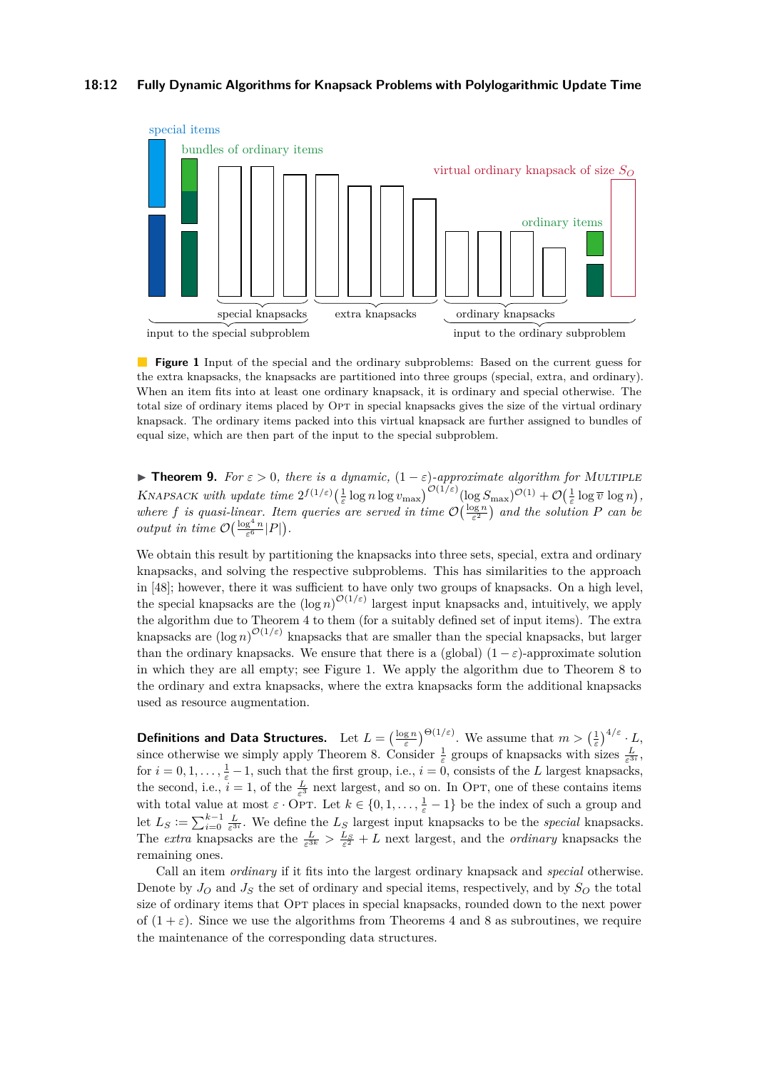<span id="page-11-0"></span>

**Figure 1** Input of the special and the ordinary subproblems: Based on the current guess for the extra knapsacks, the knapsacks are partitioned into three groups (special, extra, and ordinary). When an item fits into at least one ordinary knapsack, it is ordinary and special otherwise. The total size of ordinary items placed by OPT in special knapsacks gives the size of the virtual ordinary knapsack. The ordinary items packed into this virtual knapsack are further assigned to bundles of equal size, which are then part of the input to the special subproblem.

**► Theorem 9.** *For*  $\varepsilon > 0$ , *there is a dynamic*,  $(1 - \varepsilon)$ -*approximate algorithm for* MULTIPLE KNAPSACK with update time  $2^{f(1/\varepsilon)} \left(\frac{1}{\varepsilon} \log n \log v_{\max}\right)^{\mathcal{O}(1/\varepsilon)} (\log S_{\max})^{\mathcal{O}(1)} + \mathcal{O}\left(\frac{1}{\varepsilon} \log \overline{v} \log n\right)$ , where f is quasi-linear. Item queries are served in time  $\mathcal{O}\left(\frac{\log n}{\varepsilon^2}\right)$  and the solution P can be *output in time*  $\mathcal{O}\left(\frac{\log^4 n}{\varepsilon^6} |P|\right)$ .

We obtain this result by partitioning the knapsacks into three sets, special, extra and ordinary knapsacks, and solving the respective subproblems. This has similarities to the approach in [\[48\]](#page-15-1); however, there it was sufficient to have only two groups of knapsacks. On a high level, the special knapsacks are the  $(\log n)^{O(1/\varepsilon)}$  largest input knapsacks and, intuitively, we apply the algorithm due to Theorem [4](#page-7-1) to them (for a suitably defined set of input items). The extra knapsacks are  $(\log n)^{\mathcal{O}(1/\varepsilon)}$  knapsacks that are smaller than the special knapsacks, but larger than the ordinary knapsacks. We ensure that there is a (global)  $(1 - \varepsilon)$ -approximate solution in which they are all empty; see Figure [1.](#page-11-0) We apply the algorithm due to Theorem [8](#page-10-1) to the ordinary and extra knapsacks, where the extra knapsacks form the additional knapsacks used as resource augmentation.

**Definitions and Data Structures.** Let  $L = \left(\frac{\log n}{\varepsilon}\right)^{\Theta(1/\varepsilon)}$ . We assume that  $m > \left(\frac{1}{\varepsilon}\right)^{4/\varepsilon} \cdot L$ , since otherwise we simply apply Theorem [8.](#page-10-1) Consider  $\frac{1}{\varepsilon}$  groups of knapsacks with sizes  $\frac{L}{\varepsilon^{3i}}$ , for  $i = 0, 1, \ldots, \frac{1}{\varepsilon} - 1$ , such that the first group, i.e.,  $i = 0$ , consists of the *L* largest knapsacks, the second, i.e.,  $i = 1$ , of the  $\frac{L}{\varepsilon^3}$  next largest, and so on. In OPT, one of these contains items with total value at most  $\varepsilon \cdot \text{OPT}$ . Let  $k \in \{0, 1, \ldots, \frac{1}{\varepsilon} - 1\}$  be the index of such a group and let  $L_S := \sum_{i=0}^{k-1} \frac{L}{\varepsilon^{3i}}$ . We define the  $L_S$  largest input knapsacks to be the *special* knapsacks. The *extra* knapsacks are the  $\frac{L}{\varepsilon^{3k}} > \frac{L_S}{\varepsilon^2} + L$  next largest, and the *ordinary* knapsacks the remaining ones.

Call an item *ordinary* if it fits into the largest ordinary knapsack and *special* otherwise. Denote by  $J<sub>O</sub>$  and  $J<sub>S</sub>$  the set of ordinary and special items, respectively, and by  $S<sub>O</sub>$  the total size of ordinary items that OPT places in special knapsacks, rounded down to the next power of  $(1 + \varepsilon)$ . Since we use the algorithms from Theorems [4](#page-7-1) and [8](#page-10-1) as subroutines, we require the maintenance of the corresponding data structures.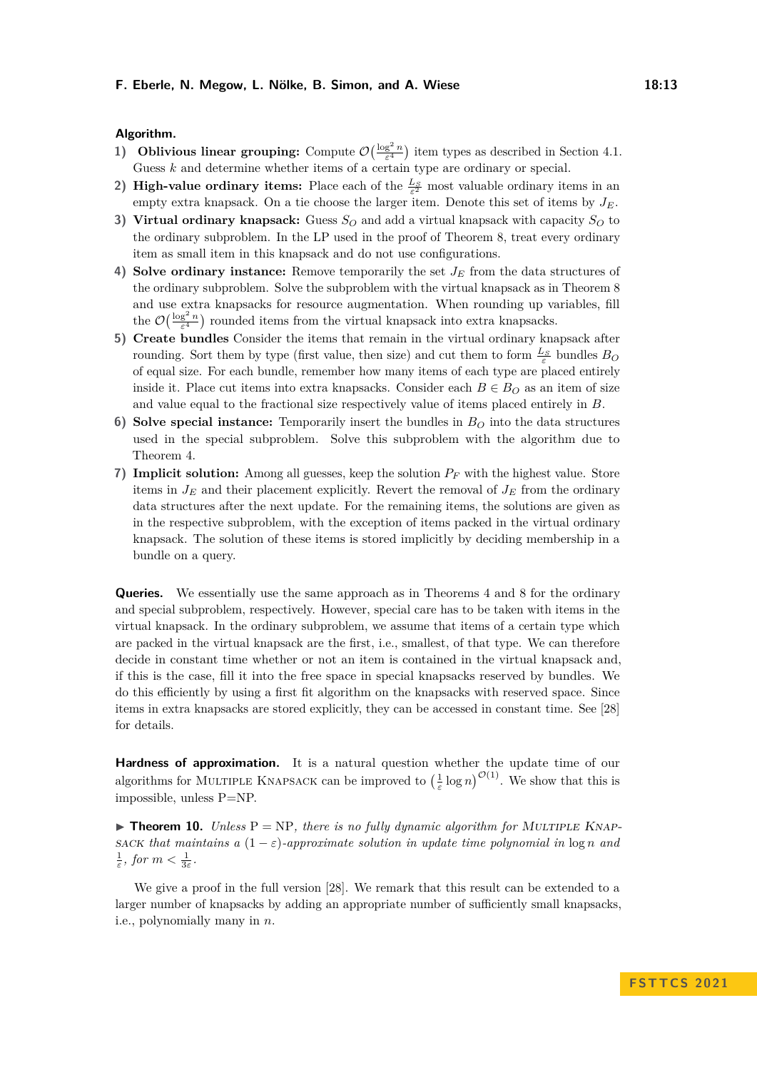### **Algorithm.**

- **1) Oblivious linear grouping:** Compute  $\mathcal{O}\left(\frac{\log^2 n}{\varepsilon^4}\right)$  item types as described in Section [4.1.](#page-7-3) Guess *k* and determine whether items of a certain type are ordinary or special.
- **2) High-value ordinary items:** Place each of the  $\frac{L_S}{\varepsilon^2}$  most valuable ordinary items in an empty extra knapsack. On a tie choose the larger item. Denote this set of items by *JE*.
- **3) Virtual ordinary knapsack:** Guess  $S_Q$  and add a virtual knapsack with capacity  $S_Q$  to the ordinary subproblem. In the LP used in the proof of Theorem [8,](#page-10-1) treat every ordinary item as small item in this knapsack and do not use configurations.
- **4) Solve ordinary instance:** Remove temporarily the set *J<sup>E</sup>* from the data structures of the ordinary subproblem. Solve the subproblem with the virtual knapsack as in Theorem [8](#page-10-1) and use extra knapsacks for resource augmentation. When rounding up variables, fill the  $\mathcal{O}\left(\frac{\log^2 n}{\varepsilon^4}\right)$  rounded items from the virtual knapsack into extra knapsacks.
- **5) Create bundles** Consider the items that remain in the virtual ordinary knapsack after rounding. Sort them by type (first value, then size) and cut them to form  $\frac{L_S}{\varepsilon}$  bundles  $B_O$ of equal size. For each bundle, remember how many items of each type are placed entirely inside it. Place cut items into extra knapsacks. Consider each  $B \in B<sub>O</sub>$  as an item of size and value equal to the fractional size respectively value of items placed entirely in *B*.
- **6) Solve special instance:** Temporarily insert the bundles in *B<sup>O</sup>* into the data structures used in the special subproblem. Solve this subproblem with the algorithm due to Theorem [4.](#page-7-1)
- **7) Implicit solution:** Among all guesses, keep the solution *P<sup>F</sup>* with the highest value. Store items in  $J_E$  and their placement explicitly. Revert the removal of  $J_E$  from the ordinary data structures after the next update. For the remaining items, the solutions are given as in the respective subproblem, with the exception of items packed in the virtual ordinary knapsack. The solution of these items is stored implicitly by deciding membership in a bundle on a query.

**Queries.** We essentially use the same approach as in Theorems [4](#page-7-1) and [8](#page-10-1) for the ordinary and special subproblem, respectively. However, special care has to be taken with items in the virtual knapsack. In the ordinary subproblem, we assume that items of a certain type which are packed in the virtual knapsack are the first, i.e., smallest, of that type. We can therefore decide in constant time whether or not an item is contained in the virtual knapsack and, if this is the case, fill it into the free space in special knapsacks reserved by bundles. We do this efficiently by using a first fit algorithm on the knapsacks with reserved space. Since items in extra knapsacks are stored explicitly, they can be accessed in constant time. See [\[28\]](#page-14-19) for details.

**Hardness of approximation.** It is a natural question whether the update time of our algorithms for MULTIPLE KNAPSACK can be improved to  $\left(\frac{1}{\varepsilon}\log n\right)^{\mathcal{O}(1)}$ . We show that this is impossible, unless P=NP.

 $\triangleright$  **Theorem 10.** *Unless*  $P = NP$ *, there is no fully dynamic algorithm for MULTIPLE KNAP*sack that maintains a  $(1 - \varepsilon)$ -approximate solution in update time polynomial in  $\log n$  and  $\frac{1}{\varepsilon}$ *, for*  $m < \frac{1}{3\varepsilon}$ *.* 

We give a proof in the full version [\[28\]](#page-14-19). We remark that this result can be extended to a larger number of knapsacks by adding an appropriate number of sufficiently small knapsacks, i.e., polynomially many in *n*.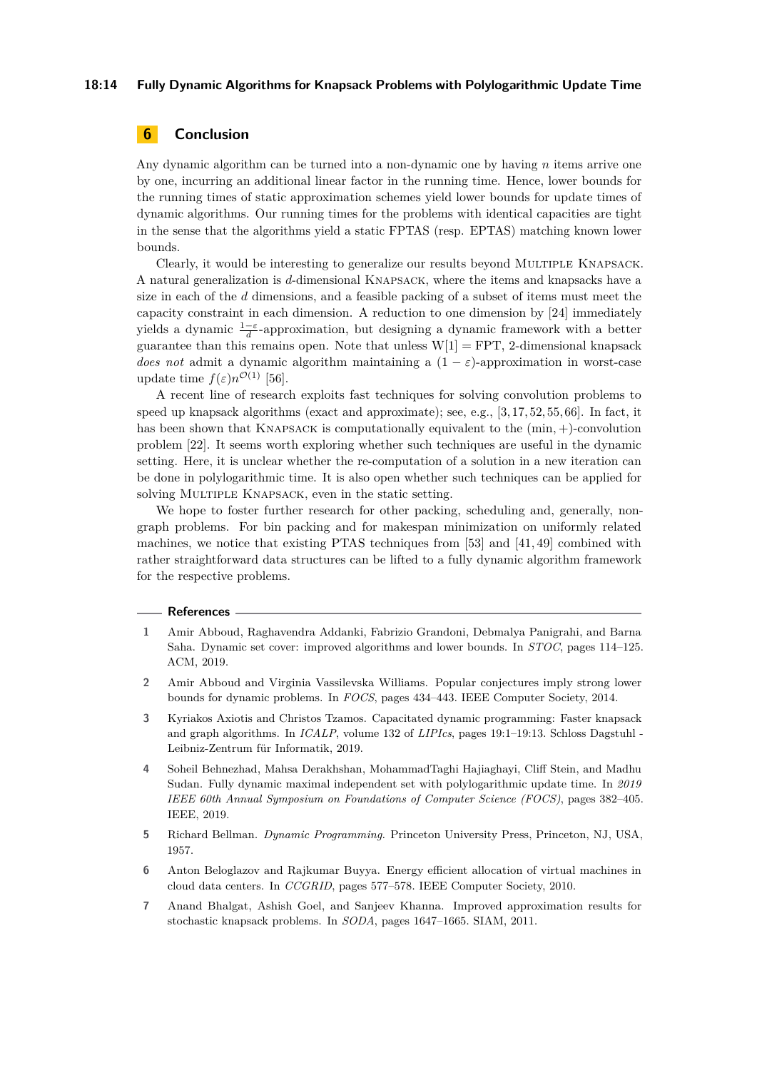### **18:14 Fully Dynamic Algorithms for Knapsack Problems with Polylogarithmic Update Time**

# **6 Conclusion**

Any dynamic algorithm can be turned into a non-dynamic one by having *n* items arrive one by one, incurring an additional linear factor in the running time. Hence, lower bounds for the running times of static approximation schemes yield lower bounds for update times of dynamic algorithms. Our running times for the problems with identical capacities are tight in the sense that the algorithms yield a static FPTAS (resp. EPTAS) matching known lower bounds.

Clearly, it would be interesting to generalize our results beyond Multiple Knapsack. A natural generalization is *d*-dimensional Knapsack, where the items and knapsacks have a size in each of the *d* dimensions, and a feasible packing of a subset of items must meet the capacity constraint in each dimension. A reduction to one dimension by [\[24\]](#page-14-20) immediately yields a dynamic <sup>1</sup>−*<sup>ε</sup> d* -approximation, but designing a dynamic framework with a better guarantee than this remains open. Note that unless  $W[1] = FPT$ , 2-dimensional knapsack *does not* admit a dynamic algorithm maintaining a  $(1 - \varepsilon)$ -approximation in worst-case update time  $f(\varepsilon)n^{\mathcal{O}(1)}$  [\[56\]](#page-16-18).

A recent line of research exploits fast techniques for solving convolution problems to speed up knapsack algorithms (exact and approximate); see, e.g., [\[3,](#page-13-6) [17,](#page-14-0) [52,](#page-16-0) [55,](#page-16-5) [66\]](#page-16-19). In fact, it has been shown that Knapsack is computationally equivalent to the (min*,* +)-convolution problem [\[22\]](#page-14-13). It seems worth exploring whether such techniques are useful in the dynamic setting. Here, it is unclear whether the re-computation of a solution in a new iteration can be done in polylogarithmic time. It is also open whether such techniques can be applied for solving MULTIPLE KNAPSACK, even in the static setting.

We hope to foster further research for other packing, scheduling and, generally, nongraph problems. For bin packing and for makespan minimization on uniformly related machines, we notice that existing PTAS techniques from [\[53\]](#page-16-20) and [\[41,](#page-15-18) [49\]](#page-15-19) combined with rather straightforward data structures can be lifted to a fully dynamic algorithm framework for the respective problems.

#### **References**

- <span id="page-13-3"></span>**1** Amir Abboud, Raghavendra Addanki, Fabrizio Grandoni, Debmalya Panigrahi, and Barna Saha. Dynamic set cover: improved algorithms and lower bounds. In *STOC*, pages 114–125. ACM, 2019.
- <span id="page-13-2"></span>**2** Amir Abboud and Virginia Vassilevska Williams. Popular conjectures imply strong lower bounds for dynamic problems. In *FOCS*, pages 434–443. IEEE Computer Society, 2014.
- <span id="page-13-6"></span>**3** Kyriakos Axiotis and Christos Tzamos. Capacitated dynamic programming: Faster knapsack and graph algorithms. In *ICALP*, volume 132 of *LIPIcs*, pages 19:1–19:13. Schloss Dagstuhl - Leibniz-Zentrum für Informatik, 2019.
- <span id="page-13-4"></span>**4** Soheil Behnezhad, Mahsa Derakhshan, MohammadTaghi Hajiaghayi, Cliff Stein, and Madhu Sudan. Fully dynamic maximal independent set with polylogarithmic update time. In *2019 IEEE 60th Annual Symposium on Foundations of Computer Science (FOCS)*, pages 382–405. IEEE, 2019.
- <span id="page-13-0"></span>**5** Richard Bellman. *Dynamic Programming*. Princeton University Press, Princeton, NJ, USA, 1957.
- <span id="page-13-1"></span>**6** Anton Beloglazov and Rajkumar Buyya. Energy efficient allocation of virtual machines in cloud data centers. In *CCGRID*, pages 577–578. IEEE Computer Society, 2010.
- <span id="page-13-5"></span>**7** Anand Bhalgat, Ashish Goel, and Sanjeev Khanna. Improved approximation results for stochastic knapsack problems. In *SODA*, pages 1647–1665. SIAM, 2011.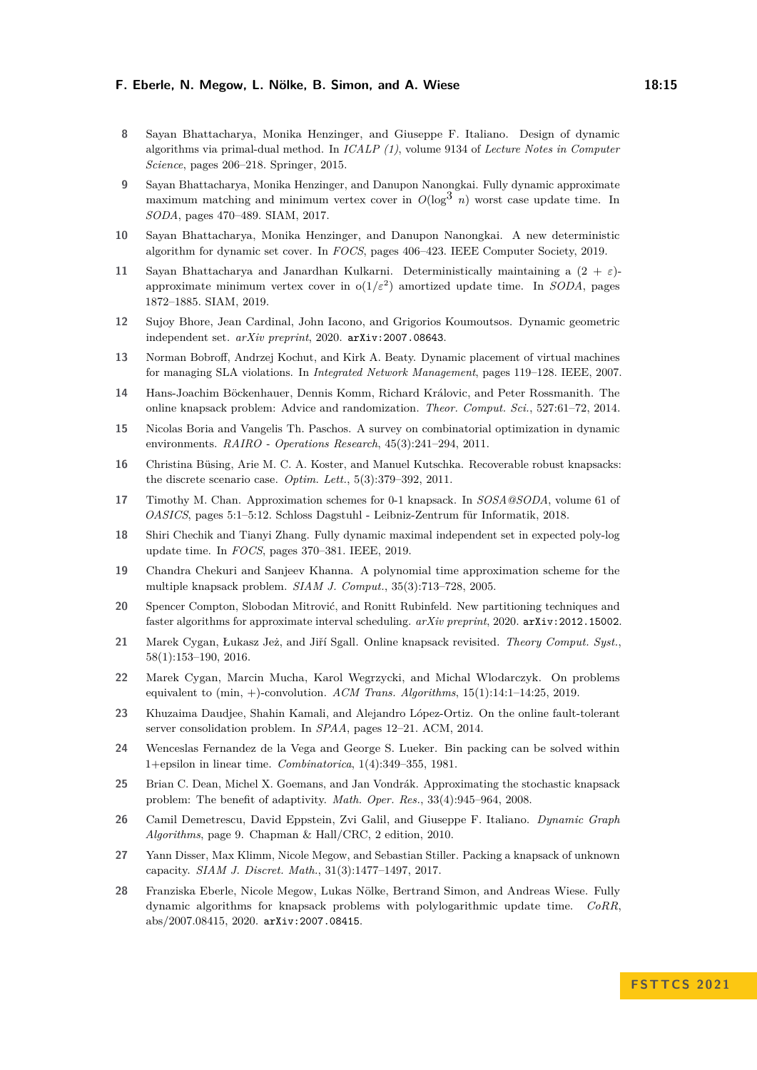- <span id="page-14-8"></span>**8** Sayan Bhattacharya, Monika Henzinger, and Giuseppe F. Italiano. Design of dynamic algorithms via primal-dual method. In *ICALP (1)*, volume 9134 of *Lecture Notes in Computer Science*, pages 206–218. Springer, 2015.
- <span id="page-14-6"></span>**9** Sayan Bhattacharya, Monika Henzinger, and Danupon Nanongkai. Fully dynamic approximate maximum matching and minimum vertex cover in  $O(\log^3 n)$  worst case update time. In *SODA*, pages 470–489. SIAM, 2017.
- <span id="page-14-9"></span>**10** Sayan Bhattacharya, Monika Henzinger, and Danupon Nanongkai. A new deterministic algorithm for dynamic set cover. In *FOCS*, pages 406–423. IEEE Computer Society, 2019.
- <span id="page-14-7"></span>**11** Sayan Bhattacharya and Janardhan Kulkarni. Deterministically maintaining a (2 + *ε*) approximate minimum vertex cover in  $o(1/\varepsilon^2)$  amortized update time. In *SODA*, pages 1872–1885. SIAM, 2019.
- <span id="page-14-11"></span>**12** Sujoy Bhore, Jean Cardinal, John Iacono, and Grigorios Koumoutsos. Dynamic geometric independent set. *arXiv preprint*, 2020. [arXiv:2007.08643](http://arxiv.org/abs/2007.08643).
- <span id="page-14-2"></span>**13** Norman Bobroff, Andrzej Kochut, and Kirk A. Beaty. Dynamic placement of virtual machines for managing SLA violations. In *Integrated Network Management*, pages 119–128. IEEE, 2007.
- <span id="page-14-15"></span>**14** Hans-Joachim Böckenhauer, Dennis Komm, Richard Královic, and Peter Rossmanith. The online knapsack problem: Advice and randomization. *Theor. Comput. Sci.*, 527:61–72, 2014.
- <span id="page-14-4"></span>**15** Nicolas Boria and Vangelis Th. Paschos. A survey on combinatorial optimization in dynamic environments. *RAIRO - Operations Research*, 45(3):241–294, 2011.
- <span id="page-14-17"></span>**16** Christina Büsing, Arie M. C. A. Koster, and Manuel Kutschka. Recoverable robust knapsacks: the discrete scenario case. *Optim. Lett.*, 5(3):379–392, 2011.
- <span id="page-14-0"></span>**17** Timothy M. Chan. Approximation schemes for 0-1 knapsack. In *SOSA@SODA*, volume 61 of *OASICS*, pages 5:1–5:12. Schloss Dagstuhl - Leibniz-Zentrum für Informatik, 2018.
- <span id="page-14-10"></span>**18** Shiri Chechik and Tianyi Zhang. Fully dynamic maximal independent set in expected poly-log update time. In *FOCS*, pages 370–381. IEEE, 2019.
- <span id="page-14-1"></span>**19** Chandra Chekuri and Sanjeev Khanna. A polynomial time approximation scheme for the multiple knapsack problem. *SIAM J. Comput.*, 35(3):713–728, 2005.
- <span id="page-14-12"></span>**20** Spencer Compton, Slobodan Mitrović, and Ronitt Rubinfeld. New partitioning techniques and faster algorithms for approximate interval scheduling. *arXiv preprint*, 2020. [arXiv:2012.15002](http://arxiv.org/abs/2012.15002).
- <span id="page-14-14"></span>**21** Marek Cygan, Łukasz Jeż, and Jiří Sgall. Online knapsack revisited. *Theory Comput. Syst.*, 58(1):153–190, 2016.
- <span id="page-14-13"></span>**22** Marek Cygan, Marcin Mucha, Karol Wegrzycki, and Michal Wlodarczyk. On problems equivalent to (min, +)-convolution. *ACM Trans. Algorithms*, 15(1):14:1–14:25, 2019.
- <span id="page-14-3"></span>**23** Khuzaima Daudjee, Shahin Kamali, and Alejandro López-Ortiz. On the online fault-tolerant server consolidation problem. In *SPAA*, pages 12–21. ACM, 2014.
- <span id="page-14-20"></span>**24** Wenceslas Fernandez de la Vega and George S. Lueker. Bin packing can be solved within 1+epsilon in linear time. *Combinatorica*, 1(4):349–355, 1981.
- <span id="page-14-16"></span>**25** Brian C. Dean, Michel X. Goemans, and Jan Vondrák. Approximating the stochastic knapsack problem: The benefit of adaptivity. *Math. Oper. Res.*, 33(4):945–964, 2008.
- <span id="page-14-5"></span>**26** Camil Demetrescu, David Eppstein, Zvi Galil, and Giuseppe F. Italiano. *Dynamic Graph Algorithms*, page 9. Chapman & Hall/CRC, 2 edition, 2010.
- <span id="page-14-18"></span>**27** Yann Disser, Max Klimm, Nicole Megow, and Sebastian Stiller. Packing a knapsack of unknown capacity. *SIAM J. Discret. Math.*, 31(3):1477–1497, 2017.
- <span id="page-14-19"></span>**28** Franziska Eberle, Nicole Megow, Lukas Nölke, Bertrand Simon, and Andreas Wiese. Fully dynamic algorithms for knapsack problems with polylogarithmic update time. *CoRR*, abs/2007.08415, 2020. [arXiv:2007.08415](http://arxiv.org/abs/2007.08415).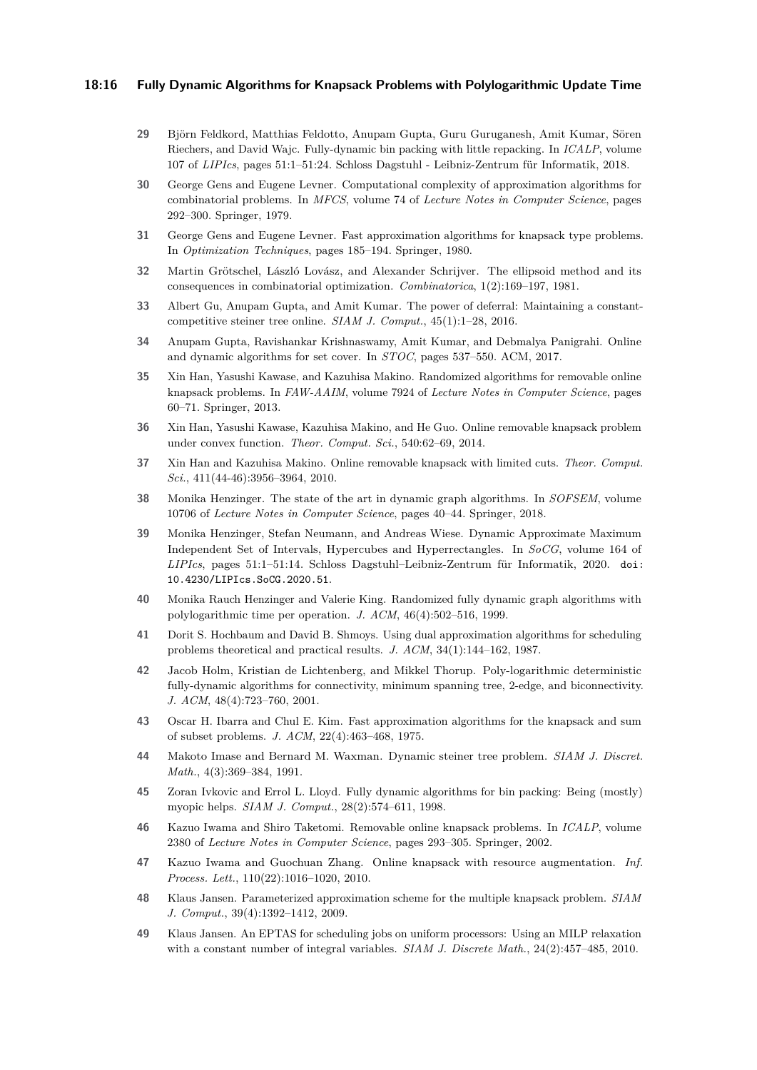### **18:16 Fully Dynamic Algorithms for Knapsack Problems with Polylogarithmic Update Time**

- <span id="page-15-14"></span>**29** Björn Feldkord, Matthias Feldotto, Anupam Gupta, Guru Guruganesh, Amit Kumar, Sören Riechers, and David Wajc. Fully-dynamic bin packing with little repacking. In *ICALP*, volume 107 of *LIPIcs*, pages 51:1–51:24. Schloss Dagstuhl - Leibniz-Zentrum für Informatik, 2018.
- <span id="page-15-8"></span>**30** George Gens and Eugene Levner. Computational complexity of approximation algorithms for combinatorial problems. In *MFCS*, volume 74 of *Lecture Notes in Computer Science*, pages 292–300. Springer, 1979.
- <span id="page-15-9"></span>**31** George Gens and Eugene Levner. Fast approximation algorithms for knapsack type problems. In *Optimization Techniques*, pages 185–194. Springer, 1980.
- <span id="page-15-17"></span>**32** Martin Grötschel, László Lovász, and Alexander Schrijver. The ellipsoid method and its consequences in combinatorial optimization. *Combinatorica*, 1(2):169–197, 1981.
- <span id="page-15-15"></span>**33** Albert Gu, Anupam Gupta, and Amit Kumar. The power of deferral: Maintaining a constantcompetitive steiner tree online. *SIAM J. Comput.*, 45(1):1–28, 2016.
- <span id="page-15-5"></span>**34** Anupam Gupta, Ravishankar Krishnaswamy, Amit Kumar, and Debmalya Panigrahi. Online and dynamic algorithms for set cover. In *STOC*, pages 537–550. ACM, 2017.
- <span id="page-15-11"></span>**35** Xin Han, Yasushi Kawase, and Kazuhisa Makino. Randomized algorithms for removable online knapsack problems. In *FAW-AAIM*, volume 7924 of *Lecture Notes in Computer Science*, pages 60–71. Springer, 2013.
- **36** Xin Han, Yasushi Kawase, Kazuhisa Makino, and He Guo. Online removable knapsack problem under convex function. *Theor. Comput. Sci.*, 540:62–69, 2014.
- <span id="page-15-12"></span>**37** Xin Han and Kazuhisa Makino. Online removable knapsack with limited cuts. *Theor. Comput. Sci.*, 411(44-46):3956–3964, 2010.
- <span id="page-15-2"></span>**38** Monika Henzinger. The state of the art in dynamic graph algorithms. In *SOFSEM*, volume 10706 of *Lecture Notes in Computer Science*, pages 40–44. Springer, 2018.
- <span id="page-15-6"></span>**39** Monika Henzinger, Stefan Neumann, and Andreas Wiese. Dynamic Approximate Maximum Independent Set of Intervals, Hypercubes and Hyperrectangles. In *SoCG*, volume 164 of *LIPIcs*, pages 51:1–51:14. Schloss Dagstuhl–Leibniz-Zentrum für Informatik, 2020. [doi:](https://doi.org/10.4230/LIPIcs.SoCG.2020.51) [10.4230/LIPIcs.SoCG.2020.51](https://doi.org/10.4230/LIPIcs.SoCG.2020.51).
- <span id="page-15-3"></span>**40** Monika Rauch Henzinger and Valerie King. Randomized fully dynamic graph algorithms with polylogarithmic time per operation. *J. ACM*, 46(4):502–516, 1999.
- <span id="page-15-18"></span>**41** Dorit S. Hochbaum and David B. Shmoys. Using dual approximation algorithms for scheduling problems theoretical and practical results. *J. ACM*, 34(1):144–162, 1987.
- <span id="page-15-4"></span>**42** Jacob Holm, Kristian de Lichtenberg, and Mikkel Thorup. Poly-logarithmic deterministic fully-dynamic algorithms for connectivity, minimum spanning tree, 2-edge, and biconnectivity. *J. ACM*, 48(4):723–760, 2001.
- <span id="page-15-0"></span>**43** Oscar H. Ibarra and Chul E. Kim. Fast approximation algorithms for the knapsack and sum of subset problems. *J. ACM*, 22(4):463–468, 1975.
- <span id="page-15-16"></span>**44** Makoto Imase and Bernard M. Waxman. Dynamic steiner tree problem. *SIAM J. Discret. Math.*, 4(3):369–384, 1991.
- <span id="page-15-7"></span>**45** Zoran Ivkovic and Errol L. Lloyd. Fully dynamic algorithms for bin packing: Being (mostly) myopic helps. *SIAM J. Comput.*, 28(2):574–611, 1998.
- <span id="page-15-13"></span>**46** Kazuo Iwama and Shiro Taketomi. Removable online knapsack problems. In *ICALP*, volume 2380 of *Lecture Notes in Computer Science*, pages 293–305. Springer, 2002.
- <span id="page-15-10"></span>**47** Kazuo Iwama and Guochuan Zhang. Online knapsack with resource augmentation. *Inf. Process. Lett.*, 110(22):1016–1020, 2010.
- <span id="page-15-1"></span>**48** Klaus Jansen. Parameterized approximation scheme for the multiple knapsack problem. *SIAM J. Comput.*, 39(4):1392–1412, 2009.
- <span id="page-15-19"></span>**49** Klaus Jansen. An EPTAS for scheduling jobs on uniform processors: Using an MILP relaxation with a constant number of integral variables. *SIAM J. Discrete Math.*, 24(2):457–485, 2010.